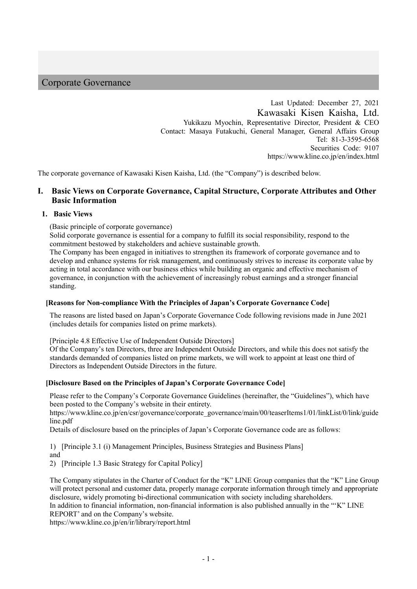# Corporate Governance

Last Updated: December 27, 2021 Kawasaki Kisen Kaisha, Ltd. Yukikazu Myochin, Representative Director, President & CEO Contact: Masaya Futakuchi, General Manager, General Affairs Group Tel: 81-3-3595-6568 Securities Code: 9107 https://www.kline.co.jp/en/index.html

The corporate governance of Kawasaki Kisen Kaisha, Ltd. (the "Company") is described below.

# **I. Basic Views on Corporate Governance, Capital Structure, Corporate Attributes and Other Basic Information**

#### **1. Basic Views**

(Basic principle of corporate governance)

Solid corporate governance is essential for a company to fulfill its social responsibility, respond to the commitment bestowed by stakeholders and achieve sustainable growth.

The Company has been engaged in initiatives to strengthen its framework of corporate governance and to develop and enhance systems for risk management, and continuously strives to increase its corporate value by acting in total accordance with our business ethics while building an organic and effective mechanism of governance, in conjunction with the achievement of increasingly robust earnings and a stronger financial standing.

# **[Reasons for Non-compliance With the Principles of Japan's Corporate Governance Code]**

The reasons are listed based on Japan's Corporate Governance Code following revisions made in June 2021 (includes details for companies listed on prime markets).

[Principle 4.8 Effective Use of Independent Outside Directors]

Of the Company's ten Directors, three are Independent Outside Directors, and while this does not satisfy the standards demanded of companies listed on prime markets, we will work to appoint at least one third of Directors as Independent Outside Directors in the future.

#### **[Disclosure Based on the Principles of Japan's Corporate Governance Code]**

Please refer to the Company's Corporate Governance Guidelines (hereinafter, the "Guidelines"), which have been posted to the Company's website in their entirety.

https://www.kline.co.jp/en/csr/governance/corporate\_governance/main/00/teaserItems1/01/linkList/0/link/guide line.pdf

Details of disclosure based on the principles of Japan's Corporate Governance code are as follows:

1) [Principle 3.1 (i) Management Principles, Business Strategies and Business Plans]

and

2) [Principle 1.3 Basic Strategy for Capital Policy]

The Company stipulates in the Charter of Conduct for the "K" LINE Group companies that the "K" Line Group will protect personal and customer data, properly manage corporate information through timely and appropriate disclosure, widely promoting bi-directional communication with society including shareholders.

In addition to financial information, non-financial information is also published annually in the "'K" LINE REPORT' and on the Company's website.

https://www.kline.co.jp/en/ir/library/report.html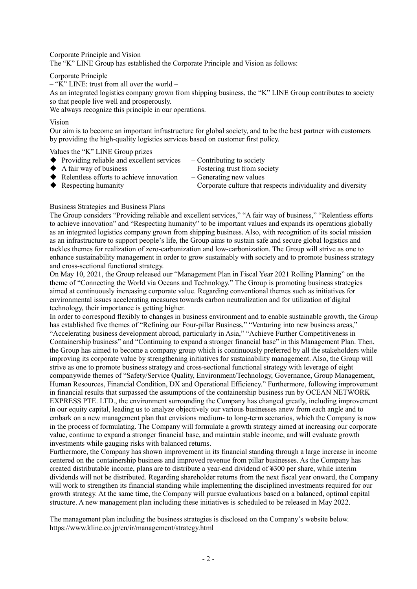Corporate Principle and Vision The "K" LINE Group has established the Corporate Principle and Vision as follows:

#### Corporate Principle

 $-$  "K" LINE: trust from all over the world –

As an integrated logistics company grown from shipping business, the "K" LINE Group contributes to society so that people live well and prosperously.

We always recognize this principle in our operations.

#### Vision

Our aim is to become an important infrastructure for global society, and to be the best partner with customers by providing the high-quality logistics services based on customer first policy.

Values the "K" LINE Group prizes

- Providing reliable and excellent services  $-$  Contributing to society<br>
A fair way of business  $-$  Fostering trust from soc
	-

- $-$  Fostering trust from society
- $\blacklozenge$  Relentless efforts to achieve innovation Generating new values
	-
- ◆ Respecting humanity  $\rightarrow$  Corporate culture that respects individuality and diversity

Business Strategies and Business Plans

The Group considers "Providing reliable and excellent services," "A fair way of business," "Relentless efforts to achieve innovation" and "Respecting humanity" to be important values and expands its operations globally as an integrated logistics company grown from shipping business. Also, with recognition of its social mission as an infrastructure to support people's life, the Group aims to sustain safe and secure global logistics and tackles themes for realization of zero-carbonization and low-carbonization. The Group will strive as one to enhance sustainability management in order to grow sustainably with society and to promote business strategy and cross-sectional functional strategy.

On May 10, 2021, the Group released our "Management Plan in Fiscal Year 2021 Rolling Planning" on the theme of "Connecting the World via Oceans and Technology." The Group is promoting business strategies aimed at continuously increasing corporate value. Regarding conventional themes such as initiatives for environmental issues accelerating measures towards carbon neutralization and for utilization of digital technology, their importance is getting higher.

In order to correspond flexibly to changes in business environment and to enable sustainable growth, the Group has established five themes of "Refining our Four-pillar Business," "Venturing into new business areas," "Accelerating business development abroad, particularly in Asia," "Achieve Further Competitiveness in Containership business" and "Continuing to expand a stronger financial base" in this Management Plan. Then, the Group has aimed to become a company group which is continuously preferred by all the stakeholders while improving its corporate value by strengthening initiatives for sustainability management. Also, the Group will strive as one to promote business strategy and cross-sectional functional strategy with leverage of eight companywide themes of "Safety/Service Quality, Environment/Technology, Governance, Group Management, Human Resources, Financial Condition, DX and Operational Efficiency." Furthermore, following improvement in financial results that surpassed the assumptions of the containership business run by OCEAN NETWORK EXPRESS PTE. LTD., the environment surrounding the Company has changed greatly, including improvement in our equity capital, leading us to analyze objectively our various businesses anew from each angle and to embark on a new management plan that envisions medium- to long-term scenarios, which the Company is now in the process of formulating. The Company will formulate a growth strategy aimed at increasing our corporate value, continue to expand a stronger financial base, and maintain stable income, and will evaluate growth investments while gauging risks with balanced returns.

Furthermore, the Company has shown improvement in its financial standing through a large increase in income centered on the containership business and improved revenue from pillar businesses. As the Company has created distributable income, plans are to distribute a year-end dividend of ¥300 per share, while interim dividends will not be distributed. Regarding shareholder returns from the next fiscal year onward, the Company will work to strengthen its financial standing while implementing the disciplined investments required for our growth strategy. At the same time, the Company will pursue evaluations based on a balanced, optimal capital structure. A new management plan including these initiatives is scheduled to be released in May 2022.

The management plan including the business strategies is disclosed on the Company's website below. https://www.kline.co.jp/en/ir/management/strategy.html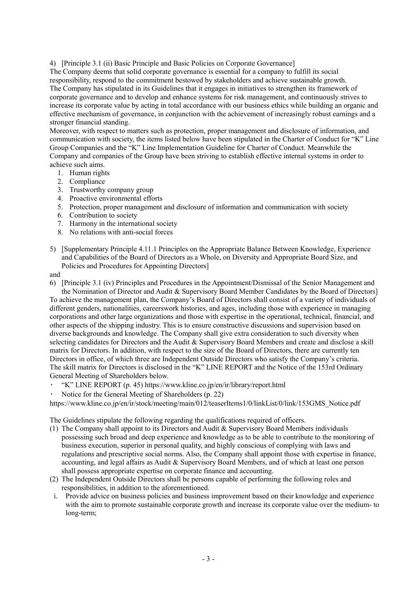4) [Principle 3.1 (ii) Basic Principle and Basic Policies on Corporate Governance]

The Company deems that solid corporate governance is essential for a company to fulfill its social responsibility, respond to the commitment bestowed by stakeholders and achieve sustainable growth. The Company has stipulated in its Guidelines that it engages in initiatives to strengthen its framework of corporate governance and to develop and enhance systems for risk management, and continuously strives to increase its corporate value by acting in total accordance with our business ethics while building an organic and effective mechanism of governance, in conjunction with the achievement of increasingly robust earnings and a stronger financial standing.

Moreover, with respect to matters such as protection, proper management and disclosure of information, and communication with society, the items listed below have been stipulated in the Charter of Conduct for "K" Line Group Companies and the "K" Line Implementation Guideline for Charter of Conduct. Meanwhile the Company and companies of the Group have been striving to establish effective internal systems in order to achieve such aims.

- 1. Human rights
- 2. Compliance
- 3. Trustworthy company group
- 4. Proactive environmental efforts
- 5. Protection, proper management and disclosure of information and communication with society
- 6. Contribution to society
- 7. Harmony in the international society
- 8. No relations with anti-social forces
- 5) [Supplementary Principle 4.11.1 Principles on the Appropriate Balance Between Knowledge, Experience and Capabilities of the Board of Directors as a Whole, on Diversity and Appropriate Board Size, and Policies and Procedures for Appointing Directors]

and

6) [Principle 3.1 (iv) Principles and Procedures in the Appointment/Dismissal of the Senior Management and the Nomination of Director and Audit & Supervisory Board Member Candidates by the Board of Directors] To achieve the management plan, the Company's Board of Directors shall consist of a variety of individuals of different genders, nationalities, careerswork histories, and ages, including those with experience in managing corporations and other large organizations and those with expertise in the operational, technical, financial, and other aspects of the shipping industry. This is to ensure constructive discussions and supervision based on diverse backgrounds and knowledge. The Company shall give extra consideration to such diversity when selecting candidates for Directors and the Audit & Supervisory Board Members and create and disclose a skill matrix for Directors. In addition, with respect to the size of the Board of Directors, there are currently ten Directors in office, of which three are Independent Outside Directors who satisfy the Company's criteria. The skill matrix for Directors is disclosed in the "K" LINE REPORT and the Notice of the 153rd Ordinary General Meeting of Shareholders below.

- ・ "K" LINE REPORT (p. 45) https://www.kline.co.jp/en/ir/library/report.html
- Notice for the General Meeting of Shareholders (p. 22)

https://www.kline.co.jp/en/ir/stock/meeting/main/012/teaserItems1/0/linkList/0/link/153GMS\_Notice.pdf

The Guidelines stipulate the following regarding the qualifications required of officers.

- (1) The Company shall appoint to its Directors and Audit & Supervisory Board Members individuals possessing such broad and deep experience and knowledge as to be able to contribute to the monitoring of business execution, superior in personal quality, and highly conscious of complying with laws and regulations and prescriptive social norms. Also, the Company shall appoint those with expertise in finance, accounting, and legal affairs as Audit & Supervisory Board Members, and of which at least one person shall possess appropriate expertise on corporate finance and accounting.
- (2) The Independent Outside Directors shall be persons capable of performing the following roles and responsibilities, in addition to the aforementioned.
- i. Provide advice on business policies and business improvement based on their knowledge and experience with the aim to promote sustainable corporate growth and increase its corporate value over the medium-to long-term;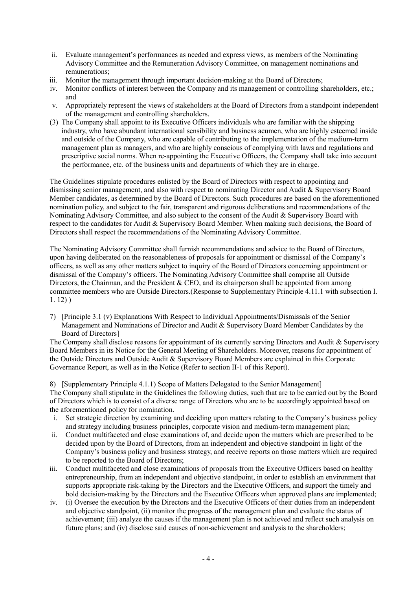- ii. Evaluate management's performances as needed and express views, as members of the Nominating Advisory Committee and the Remuneration Advisory Committee, on management nominations and remunerations;
- iii. Monitor the management through important decision-making at the Board of Directors;
- iv. Monitor conflicts of interest between the Company and its management or controlling shareholders, etc.; and
- v. Appropriately represent the views of stakeholders at the Board of Directors from a standpoint independent of the management and controlling shareholders.
- (3) The Company shall appoint to its Executive Officers individuals who are familiar with the shipping industry, who have abundant international sensibility and business acumen, who are highly esteemed inside and outside of the Company, who are capable of contributing to the implementation of the medium-term management plan as managers, and who are highly conscious of complying with laws and regulations and prescriptive social norms. When re-appointing the Executive Officers, the Company shall take into account the performance, etc. of the business units and departments of which they are in charge.

The Guidelines stipulate procedures enlisted by the Board of Directors with respect to appointing and dismissing senior management, and also with respect to nominating Director and Audit & Supervisory Board Member candidates, as determined by the Board of Directors. Such procedures are based on the aforementioned nomination policy, and subject to the fair, transparent and rigorous deliberations and recommendations of the Nominating Advisory Committee, and also subject to the consent of the Audit & Supervisory Board with respect to the candidates for Audit & Supervisory Board Member. When making such decisions, the Board of Directors shall respect the recommendations of the Nominating Advisory Committee.

The Nominating Advisory Committee shall furnish recommendations and advice to the Board of Directors, upon having deliberated on the reasonableness of proposals for appointment or dismissal of the Company's officers, as well as any other matters subject to inquiry of the Board of Directors concerning appointment or dismissal of the Company's officers. The Nominating Advisory Committee shall comprise all Outside Directors, the Chairman, and the President & CEO, and its chairperson shall be appointed from among committee members who are Outside Directors.(Response to Supplementary Principle 4.11.1 with subsection I. 1. 12) )

7) [Principle 3.1 (v) Explanations With Respect to Individual Appointments/Dismissals of the Senior Management and Nominations of Director and Audit & Supervisory Board Member Candidates by the Board of Directors]

The Company shall disclose reasons for appointment of its currently serving Directors and Audit & Supervisory Board Members in its Notice for the General Meeting of Shareholders. Moreover, reasons for appointment of the Outside Directors and Outside Audit & Supervisory Board Members are explained in this Corporate Governance Report, as well as in the Notice (Refer to section II-1 of this Report).

8) [Supplementary Principle 4.1.1) Scope of Matters Delegated to the Senior Management] The Company shall stipulate in the Guidelines the following duties, such that are to be carried out by the Board of Directors which is to consist of a diverse range of Directors who are to be accordingly appointed based on the aforementioned policy for nomination.

- i. Set strategic direction by examining and deciding upon matters relating to the Company's business policy and strategy including business principles, corporate vision and medium-term management plan;
- ii. Conduct multifaceted and close examinations of, and decide upon the matters which are prescribed to be decided upon by the Board of Directors, from an independent and objective standpoint in light of the Company's business policy and business strategy, and receive reports on those matters which are required to be reported to the Board of Directors;
- iii. Conduct multifaceted and close examinations of proposals from the Executive Officers based on healthy entrepreneurship, from an independent and objective standpoint, in order to establish an environment that supports appropriate risk-taking by the Directors and the Executive Officers, and support the timely and bold decision-making by the Directors and the Executive Officers when approved plans are implemented;
- iv. (i) Oversee the execution by the Directors and the Executive Officers of their duties from an independent and objective standpoint, (ii) monitor the progress of the management plan and evaluate the status of achievement; (iii) analyze the causes if the management plan is not achieved and reflect such analysis on future plans; and (iv) disclose said causes of non-achievement and analysis to the shareholders;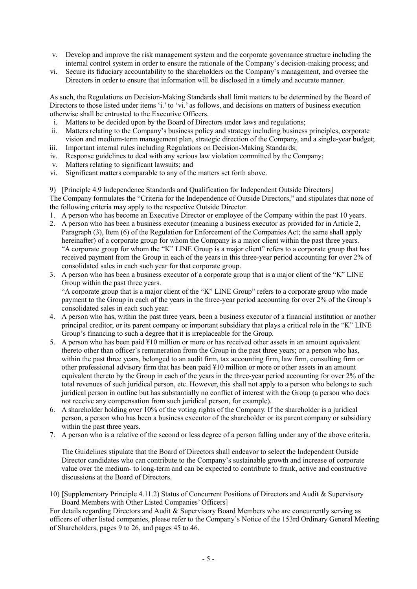- v. Develop and improve the risk management system and the corporate governance structure including the internal control system in order to ensure the rationale of the Company's decision-making process; and
- vi. Secure its fiduciary accountability to the shareholders on the Company's management, and oversee the Directors in order to ensure that information will be disclosed in a timely and accurate manner.

As such, the Regulations on Decision-Making Standards shall limit matters to be determined by the Board of Directors to those listed under items 'i.' to 'vi.' as follows, and decisions on matters of business execution otherwise shall be entrusted to the Executive Officers.

- i. Matters to be decided upon by the Board of Directors under laws and regulations;
- ii. Matters relating to the Company's business policy and strategy including business principles, corporate vision and medium-term management plan, strategic direction of the Company, and a single-year budget;
- iii. Important internal rules including Regulations on Decision-Making Standards;
- iv. Response guidelines to deal with any serious law violation committed by the Company;
- v. Matters relating to significant lawsuits; and
- vi. Significant matters comparable to any of the matters set forth above.

9) [Principle 4.9 Independence Standards and Qualification for Independent Outside Directors] The Company formulates the "Criteria for the Independence of Outside Directors," and stipulates that none of

the following criteria may apply to the respective Outside Director.

- 1. A person who has become an Executive Director or employee of the Company within the past 10 years.
- 2. A person who has been a business executor (meaning a business executor as provided for in Article 2, Paragraph (3), Item (6) of the Regulation for Enforcement of the Companies Act; the same shall apply hereinafter) of a corporate group for whom the Company is a major client within the past three years. "A corporate group for whom the "K" LINE Group is a major client" refers to a corporate group that has received payment from the Group in each of the years in this three-year period accounting for over 2% of consolidated sales in each such year for that corporate group.
- 3. A person who has been a business executor of a corporate group that is a major client of the "K" LINE Group within the past three years.

"A corporate group that is a major client of the "K" LINE Group" refers to a corporate group who made payment to the Group in each of the years in the three-year period accounting for over 2% of the Group's consolidated sales in each such year.

- 4. A person who has, within the past three years, been a business executor of a financial institution or another principal creditor, or its parent company or important subsidiary that plays a critical role in the "K" LINE Group's financing to such a degree that it is irreplaceable for the Group.
- 5. A person who has been paid ¥10 million or more or has received other assets in an amount equivalent thereto other than officer's remuneration from the Group in the past three years; or a person who has, within the past three years, belonged to an audit firm, tax accounting firm, law firm, consulting firm or other professional advisory firm that has been paid ¥10 million or more or other assets in an amount equivalent thereto by the Group in each of the years in the three-year period accounting for over 2% of the total revenues of such juridical person, etc. However, this shall not apply to a person who belongs to such juridical person in outline but has substantially no conflict of interest with the Group (a person who does not receive any compensation from such juridical person, for example).
- 6. A shareholder holding over 10% of the voting rights of the Company. If the shareholder is a juridical person, a person who has been a business executor of the shareholder or its parent company or subsidiary within the past three years.
- 7. A person who is a relative of the second or less degree of a person falling under any of the above criteria.

The Guidelines stipulate that the Board of Directors shall endeavor to select the Independent Outside Director candidates who can contribute to the Company's sustainable growth and increase of corporate value over the medium- to long-term and can be expected to contribute to frank, active and constructive discussions at the Board of Directors.

10) [Supplementary Principle 4.11.2) Status of Concurrent Positions of Directors and Audit & Supervisory Board Members with Other Listed Companies' Officers]

For details regarding Directors and Audit & Supervisory Board Members who are concurrently serving as officers of other listed companies, please refer to the Company's Notice of the 153rd Ordinary General Meeting of Shareholders, pages 9 to 26, and pages 45 to 46.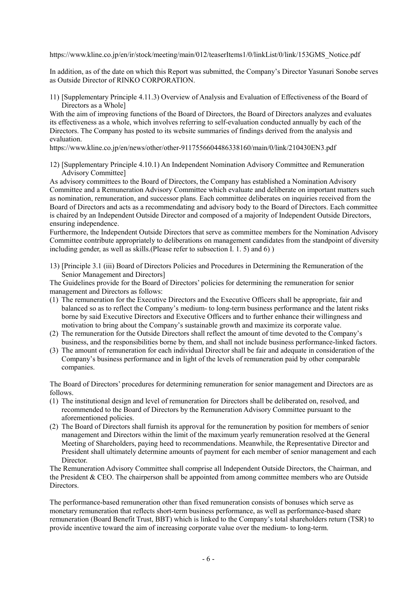https://www.kline.co.jp/en/ir/stock/meeting/main/012/teaserItems1/0/linkList/0/link/153GMS\_Notice.pdf

In addition, as of the date on which this Report was submitted, the Company's Director Yasunari Sonobe serves as Outside Director of RINKO CORPORATION.

11) [Supplementary Principle 4.11.3) Overview of Analysis and Evaluation of Effectiveness of the Board of Directors as a Whole]

With the aim of improving functions of the Board of Directors, the Board of Directors analyzes and evaluates its effectiveness as a whole, which involves referring to self-evaluation conducted annually by each of the Directors. The Company has posted to its website summaries of findings derived from the analysis and evaluation.

https://www.kline.co.jp/en/news/other/other-9117556604486338160/main/0/link/210430EN3.pdf

12) [Supplementary Principle 4.10.1) An Independent Nomination Advisory Committee and Remuneration Advisory Committee]

As advisory committees to the Board of Directors, the Company has established a Nomination Advisory Committee and a Remuneration Advisory Committee which evaluate and deliberate on important matters such as nomination, remuneration, and successor plans. Each committee deliberates on inquiries received from the Board of Directors and acts as a recommendating and advisory body to the Board of Directors. Each committee is chaired by an Independent Outside Director and composed of a majority of Independent Outside Directors, ensuring independence.

Furthermore, the Independent Outside Directors that serve as committee members for the Nomination Advisory Committee contribute appropriately to deliberations on management candidates from the standpoint of diversity including gender, as well as skills.(Please refer to subsection I. 1. 5) and 6) )

13) [Principle 3.1 (iii) Board of Directors Policies and Procedures in Determining the Remuneration of the Senior Management and Directors]

The Guidelines provide for the Board of Directors' policies for determining the remuneration for senior management and Directors as follows:

- (1) The remuneration for the Executive Directors and the Executive Officers shall be appropriate, fair and balanced so as to reflect the Company's medium- to long-term business performance and the latent risks borne by said Executive Directors and Executive Officers and to further enhance their willingness and motivation to bring about the Company's sustainable growth and maximize its corporate value.
- (2) The remuneration for the Outside Directors shall reflect the amount of time devoted to the Company's business, and the responsibilities borne by them, and shall not include business performance-linked factors.
- (3) The amount of remuneration for each individual Director shall be fair and adequate in consideration of the Company's business performance and in light of the levels of remuneration paid by other comparable companies.

The Board of Directors' procedures for determining remuneration for senior management and Directors are as follows.

- (1) The institutional design and level of remuneration for Directors shall be deliberated on, resolved, and recommended to the Board of Directors by the Remuneration Advisory Committee pursuant to the aforementioned policies.
- (2) The Board of Directors shall furnish its approval for the remuneration by position for members of senior management and Directors within the limit of the maximum yearly remuneration resolved at the General Meeting of Shareholders, paying heed to recommendations. Meanwhile, the Representative Director and President shall ultimately determine amounts of payment for each member of senior management and each Director.

The Remuneration Advisory Committee shall comprise all Independent Outside Directors, the Chairman, and the President  $&$  CEO. The chairperson shall be appointed from among committee members who are Outside Directors.

The performance-based remuneration other than fixed remuneration consists of bonuses which serve as monetary remuneration that reflects short-term business performance, as well as performance-based share remuneration (Board Benefit Trust, BBT) which is linked to the Company's total shareholders return (TSR) to provide incentive toward the aim of increasing corporate value over the medium- to long-term.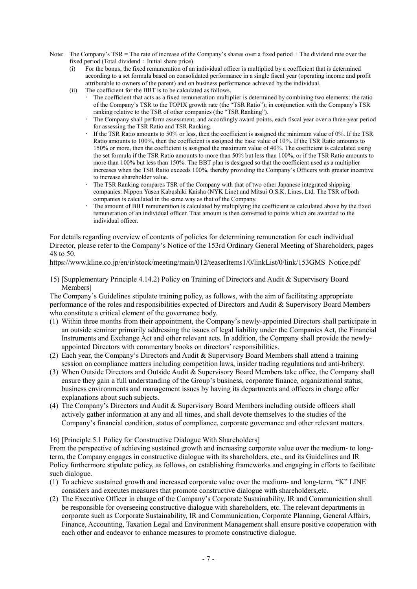- Note: The Company's TSR = The rate of increase of the Company's shares over a fixed period + The dividend rate over the fixed period (Total dividend ÷ Initial share price)
	- (i) For the bonus, the fixed remuneration of an individual officer is multiplied by a coefficient that is determined according to a set formula based on consolidated performance in a single fiscal year (operating income and profit attributable to owners of the parent) and on business performance achieved by the individual.
	- (ii) The coefficient for the BBT is to be calculated as follows.
		- The coefficient that acts as a fixed remuneration multiplier is determined by combining two elements: the ratio of the Company's TSR to the TOPIX growth rate (the "TSR Ratio"); in conjunction with the Company's TSR ranking relative to the TSR of other companies (the "TSR Ranking").
		- The Company shall perform assessment, and accordingly award points, each fiscal year over a three-year period for assessing the TSR Ratio and TSR Ranking.
		- If the TSR Ratio amounts to 50% or less, then the coefficient is assigned the minimum value of 0%. If the TSR Ratio amounts to 100%, then the coefficient is assigned the base value of 10%. If the TSR Ratio amounts to 150% or more, then the coefficient is assigned the maximum value of 40%. The coefficient is calculated using the set formula if the TSR Ratio amounts to more than 50% but less than 100%, or if the TSR Ratio amounts to more than 100% but less than 150%. The BBT plan is designed so that the coefficient used as a multiplier increases when the TSR Ratio exceeds 100%, thereby providing the Company's Officers with greater incentive to increase shareholder value.
		- The TSR Ranking compares TSR of the Company with that of two other Japanese integrated shipping companies: Nippon Yusen Kabushiki Kaisha (NYK Line) and Mitsui O.S.K. Lines, Ltd. The TSR of both companies is calculated in the same way as that of the Company.
		- The amount of BBT remuneration is calculated by multiplying the coefficient as calculated above by the fixed remuneration of an individual officer. That amount is then converted to points which are awarded to the individual officer.

For details regarding overview of contents of policies for determining remuneration for each individual Director, please refer to the Company's Notice of the 153rd Ordinary General Meeting of Shareholders, pages 48 to 50.

https://www.kline.co.jp/en/ir/stock/meeting/main/012/teaserItems1/0/linkList/0/link/153GMS\_Notice.pdf

15) [Supplementary Principle 4.14.2) Policy on Training of Directors and Audit & Supervisory Board Members]

The Company's Guidelines stipulate training policy, as follows, with the aim of facilitating appropriate performance of the roles and responsibilities expected of Directors and Audit & Supervisory Board Members who constitute a critical element of the governance body.

- (1) Within three months from their appointment, the Company's newly-appointed Directors shall participate in an outside seminar primarily addressing the issues of legal liability under the Companies Act, the Financial Instruments and Exchange Act and other relevant acts. In addition, the Company shall provide the newlyappointed Directors with commentary books on directors' responsibilities.
- (2) Each year, the Company's Directors and Audit & Supervisory Board Members shall attend a training session on compliance matters including competition laws, insider trading regulations and anti-bribery.
- (3) When Outside Directors and Outside Audit & Supervisory Board Members take office, the Company shall ensure they gain a full understanding of the Group's business, corporate finance, organizational status, business environments and management issues by having its departments and officers in charge offer explanations about such subjects.
- (4) The Company's Directors and Audit & Supervisory Board Members including outside officers shall actively gather information at any and all times, and shall devote themselves to the studies of the Company's financial condition, status of compliance, corporate governance and other relevant matters.

16) [Principle 5.1 Policy for Constructive Dialogue With Shareholders]

From the perspective of achieving sustained growth and increasing corporate value over the medium- to longterm, the Company engages in constructive dialogue with its shareholders, etc., and its Guidelines and IR Policy furthermore stipulate policy, as follows, on establishing frameworks and engaging in efforts to facilitate such dialogue.

- (1) To achieve sustained growth and increased corporate value over the medium- and long-term, "K" LINE considers and executes measures that promote constructive dialogue with shareholders,etc.
- (2) The Executive Officer in charge of the Company's Corporate Sustainability, IR and Communication shall be responsible for overseeing constructive dialogue with shareholders, etc. The relevant departments in corporate such as Corporate Sustainability, IR and Communication, Corporate Planning, General Affairs, Finance, Accounting, Taxation Legal and Environment Management shall ensure positive cooperation with each other and endeavor to enhance measures to promote constructive dialogue.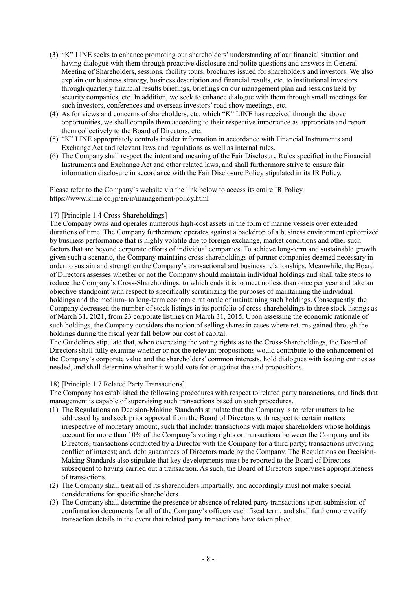- (3) "K" LINE seeks to enhance promoting our shareholders' understanding of our financial situation and having dialogue with them through proactive disclosure and polite questions and answers in General Meeting of Shareholders, sessions, facility tours, brochures issued for shareholders and investors. We also explain our business strategy, business description and financial results, etc. to institutional investors through quarterly financial results briefings, briefings on our management plan and sessions held by security companies, etc. In addition, we seek to enhance dialogue with them through small meetings for such investors, conferences and overseas investors' road show meetings, etc.
- (4) As for views and concerns of shareholders, etc. which "K" LINE has received through the above opportunities, we shall compile them according to their respective importance as appropriate and report them collectively to the Board of Directors, etc.
- (5) "K" LINE appropriately controls insider information in accordance with Financial Instruments and Exchange Act and relevant laws and regulations as well as internal rules.
- (6) The Company shall respect the intent and meaning of the Fair Disclosure Rules specified in the Financial Instruments and Exchange Act and other related laws, and shall furthermore strive to ensure fair information disclosure in accordance with the Fair Disclosure Policy stipulated in its IR Policy.

Please refer to the Company's website via the link below to access its entire IR Policy. https://www.kline.co.jp/en/ir/management/policy.html

#### 17) [Principle 1.4 Cross-Shareholdings]

The Company owns and operates numerous high-cost assets in the form of marine vessels over extended durations of time. The Company furthermore operates against a backdrop of a business environment epitomized by business performance that is highly volatile due to foreign exchange, market conditions and other such factors that are beyond corporate efforts of individual companies. To achieve long-term and sustainable growth given such a scenario, the Company maintains cross-shareholdings of partner companies deemed necessary in order to sustain and strengthen the Company's transactional and business relationships. Meanwhile, the Board of Directors assesses whether or not the Company should maintain individual holdings and shall take steps to reduce the Company's Cross-Shareholdings, to which ends it is to meet no less than once per year and take an objective standpoint with respect to specifically scrutinizing the purposes of maintaining the individual holdings and the medium- to long-term economic rationale of maintaining such holdings. Consequently, the Company decreased the number of stock listings in its portfolio of cross-shareholdings to three stock listings as of March 31, 2021, from 23 corporate listings on March 31, 2015. Upon assessing the economic rationale of such holdings, the Company considers the notion of selling shares in cases where returns gained through the holdings during the fiscal year fall below our cost of capital.

The Guidelines stipulate that, when exercising the voting rights as to the Cross-Shareholdings, the Board of Directors shall fully examine whether or not the relevant propositions would contribute to the enhancement of the Company's corporate value and the shareholders' common interests, hold dialogues with issuing entities as needed, and shall determine whether it would vote for or against the said propositions.

#### 18) [Principle 1.7 Related Party Transactions]

The Company has established the following procedures with respect to related party transactions, and finds that management is capable of supervising such transactions based on such procedures.

- (1) The Regulations on Decision-Making Standards stipulate that the Company is to refer matters to be addressed by and seek prior approval from the Board of Directors with respect to certain matters irrespective of monetary amount, such that include: transactions with major shareholders whose holdings account for more than 10% of the Company's voting rights or transactions between the Company and its Directors; transactions conducted by a Director with the Company for a third party; transactions involving conflict of interest; and, debt guarantees of Directors made by the Company. The Regulations on Decision-Making Standards also stipulate that key developments must be reported to the Board of Directors subsequent to having carried out a transaction. As such, the Board of Directors supervises appropriateness of transactions.
- (2) The Company shall treat all of its shareholders impartially, and accordingly must not make special considerations for specific shareholders.
- (3) The Company shall determine the presence or absence of related party transactions upon submission of confirmation documents for all of the Company's officers each fiscal term, and shall furthermore verify transaction details in the event that related party transactions have taken place.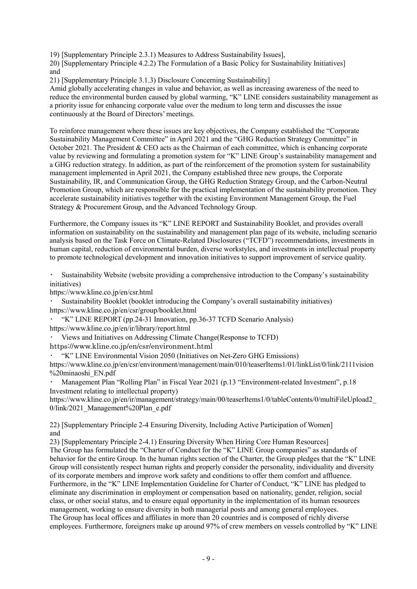19) [Supplementary Principle 2.3.1) Measures to Address Sustainability Issues],

20) [Supplementary Principle 4.2.2) The Formulation of a Basic Policy for Sustainability Initiatives] and

21) [Supplementary Principle 3.1.3) Disclosure Concerning Sustainability]

Amid globally accelerating changes in value and behavior, as well as increasing awareness of the need to reduce the environmental burden caused by global warming, "K" LINE considers sustainability management as a priority issue for enhancing corporate value over the medium to long term and discusses the issue continuously at the Board of Directors' meetings.

To reinforce management where these issues are key objectives, the Company established the "Corporate Sustainability Management Committee" in April 2021 and the "GHG Reduction Strategy Committee" in October 2021. The President & CEO acts as the Chairman of each committee, which is enhancing corporate value by reviewing and formulating a promotion system for "K" LINE Group's sustainability management and a GHG reduction strategy. In addition, as part of the reinforcement of the promotion system for sustainability management implemented in April 2021, the Company established three new groups, the Corporate Sustainability, IR, and Communication Group, the GHG Reduction Strategy Group, and the Carbon-Neutral Promotion Group, which are responsible for the practical implementation of the sustainability promotion. They accelerate sustainability initiatives together with the existing Environment Management Group, the Fuel Strategy & Procurement Group, and the Advanced Technology Group.

Furthermore, the Company issues its "K" LINE REPORT and Sustainability Booklet, and provides overall information on sustainability on the sustainability and management plan page of its website, including scenario analysis based on the Task Force on Climate-Related Disclosures ("TCFD") recommendations, investments in human capital, reduction of environmental burden, diverse workstyles, and investments in intellectual property to promote technological development and innovation initiatives to support improvement of service quality.

Sustainability Website (website providing a comprehensive introduction to the Company's sustainability initiatives)

https://www.kline.co.jp/en/csr.html

Sustainability Booklet (booklet introducing the Company's overall sustainability initiatives) https://www.kline.co.jp/en/csr/group/booklet.html

"K" LINE REPORT (pp.24-31 Innovation, pp.36-37 TCFD Scenario Analysis) https://www.kline.co.jp/en/ir/library/report.html

Views and Initiatives on Addressing Climate Change(Response to TCFD)

https://www.kline.co.jp/en/csr/environment.html

"K" LINE Environmental Vision 2050 (Initiatives on Net-Zero GHG Emissions)

https://www.kline.co.jp/en/csr/environment/management/main/010/teaserItems1/01/linkList/0/link/2111vision %20minaoshi\_EN.pdf

Management Plan "Rolling Plan" in Fiscal Year 2021 (p.13 "Environment-related Investment", p.18 Investment relating to intellectual property)

https://www.kline.co.jp/en/ir/management/strategy/main/00/teaserItems1/0/tableContents/0/multiFileUpload2\_ 0/link/2021\_Management%20Plan\_e.pdf

22) [Supplementary Principle 2-4 Ensuring Diversity, Including Active Participation of Women] and

23) [Supplementary Principle 2-4.1) Ensuring Diversity When Hiring Core Human Resources] The Group has formulated the "Charter of Conduct for the "K" LINE Group companies" as standards of behavior for the entire Group. In the human rights section of the Charter, the Group pledges that the "K" LINE Group will consistently respect human rights and properly consider the personality, individuality and diversity of its corporate members and improve work safety and conditions to offer them comfort and affluence. Furthermore, in the "K" LINE Implementation Guideline for Charter of Conduct, "K" LINE has pledged to eliminate any discrimination in employment or compensation based on nationality, gender, religion, social class, or other social status, and to ensure equal opportunity in the implementation of its human resources management, working to ensure diversity in both managerial posts and among general employees. The Group has local offices and affiliates in more than 20 countries and is composed of richly diverse employees. Furthermore, foreigners make up around 97% of crew members on vessels controlled by "K" LINE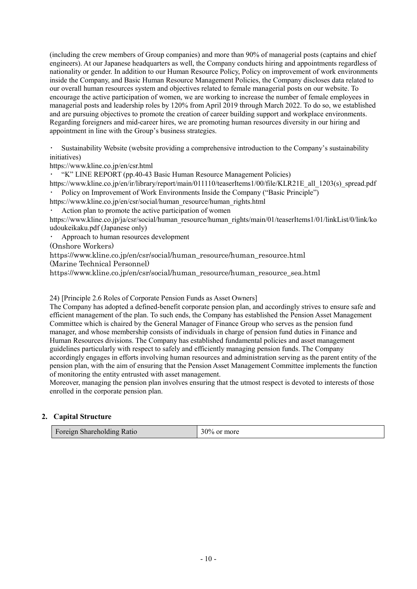(including the crew members of Group companies) and more than 90% of managerial posts (captains and chief engineers). At our Japanese headquarters as well, the Company conducts hiring and appointments regardless of nationality or gender. In addition to our Human Resource Policy, Policy on improvement of work environments inside the Company, and Basic Human Resource Management Policies, the Company discloses data related to our overall human resources system and objectives related to female managerial posts on our website. To encourage the active participation of women, we are working to increase the number of female employees in managerial posts and leadership roles by 120% from April 2019 through March 2022. To do so, we established and are pursuing objectives to promote the creation of career building support and workplace environments. Regarding foreigners and mid-career hires, we are promoting human resources diversity in our hiring and appointment in line with the Group's business strategies.

Sustainability Website (website providing a comprehensive introduction to the Company's sustainability initiatives)

https://www.kline.co.jp/en/csr.html

・ "K" LINE REPORT (pp.40-43 Basic Human Resource Management Policies)

https://www.kline.co.jp/en/ir/library/report/main/011110/teaserItems1/00/file/KLR21E\_all\_1203(s)\_spread.pdf Policy on Improvement of Work Environments Inside the Company ("Basic Principle")

https://www.kline.co.jp/en/csr/social/human\_resource/human\_rights.html

Action plan to promote the active participation of women

https://www.kline.co.jp/ja/csr/social/human\_resource/human\_rights/main/01/teaserItems1/01/linkList/0/link/ko udoukeikaku.pdf (Japanese only)

Approach to human resources development

(Onshore Workers)

https://www.kline.co.jp/en/csr/social/human\_resource/human\_resource.html

(Marine Technical Personnel)

https://www.kline.co.jp/en/csr/social/human\_resource/human\_resource\_sea.html

24) [Principle 2.6 Roles of Corporate Pension Funds as Asset Owners]

The Company has adopted a defined-benefit corporate pension plan, and accordingly strives to ensure safe and efficient management of the plan. To such ends, the Company has established the Pension Asset Management Committee which is chaired by the General Manager of Finance Group who serves as the pension fund manager, and whose membership consists of individuals in charge of pension fund duties in Finance and Human Resources divisions. The Company has established fundamental policies and asset management guidelines particularly with respect to safely and efficiently managing pension funds. The Company accordingly engages in efforts involving human resources and administration serving as the parent entity of the pension plan, with the aim of ensuring that the Pension Asset Management Committee implements the function of monitoring the entity entrusted with asset management.

Moreover, managing the pension plan involves ensuring that the utmost respect is devoted to interests of those enrolled in the corporate pension plan.

#### **2. Capital Structure**

| Foreign Shareholding Ratio | $30\%$ or more |
|----------------------------|----------------|
|----------------------------|----------------|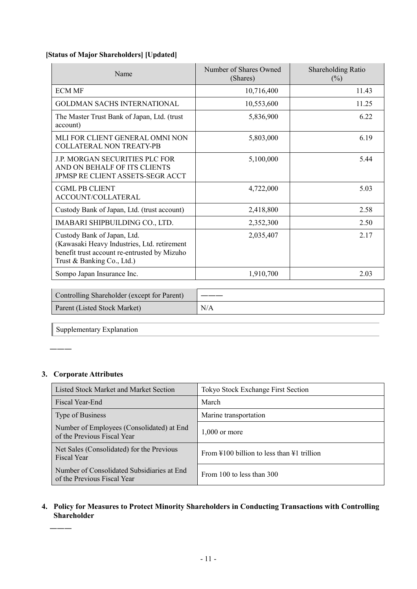# **[Status of Major Shareholders] [Updated]**

| Name                                                                                                                                                     | Number of Shares Owned<br>(Shares) | Shareholding Ratio<br>$(\%)$ |
|----------------------------------------------------------------------------------------------------------------------------------------------------------|------------------------------------|------------------------------|
| <b>ECM MF</b>                                                                                                                                            | 10,716,400                         | 11.43                        |
| <b>GOLDMAN SACHS INTERNATIONAL</b>                                                                                                                       | 10,553,600                         | 11.25                        |
| The Master Trust Bank of Japan, Ltd. (trust<br>account)                                                                                                  | 5,836,900                          | 6.22                         |
| MLI FOR CLIENT GENERAL OMNI NON<br>COLLATERAL NON TREATY-PB                                                                                              | 5,803,000                          | 6.19                         |
| J.P. MORGAN SECURITIES PLC FOR<br>AND ON BEHALF OF ITS CLIENTS<br>JPMSP RE CLIENT ASSETS-SEGR ACCT                                                       | 5,100,000                          | 5.44                         |
| <b>CGML PB CLIENT</b><br>ACCOUNT/COLLATERAL                                                                                                              | 4,722,000                          | 5.03                         |
| Custody Bank of Japan, Ltd. (trust account)                                                                                                              | 2,418,800                          | 2.58                         |
| IMABARI SHIPBUILDING CO., LTD.                                                                                                                           | 2,352,300                          | 2.50                         |
| Custody Bank of Japan, Ltd.<br>(Kawasaki Heavy Industries, Ltd. retirement<br>benefit trust account re-entrusted by Mizuho<br>Trust & Banking Co., Ltd.) | 2,035,407                          | 2.17                         |
| Sompo Japan Insurance Inc.                                                                                                                               | 1,910,700                          | 2.03                         |

| Controlling Shareholder (except for Parent) |     |
|---------------------------------------------|-----|
| Parent (Listed Stock Market)                | N/A |

Supplementary Explanation

# **3. Corporate Attributes**

―――

―――

| Listed Stock Market and Market Section                                    | Tokyo Stock Exchange First Section                             |
|---------------------------------------------------------------------------|----------------------------------------------------------------|
| Fiscal Year-End                                                           | March                                                          |
| Type of Business                                                          | Marine transportation                                          |
| Number of Employees (Consolidated) at End<br>of the Previous Fiscal Year  | $1.000$ or more                                                |
| Net Sales (Consolidated) for the Previous<br><b>Fiscal Year</b>           | From $\text{\#}100$ billion to less than $\text{\#}1$ trillion |
| Number of Consolidated Subsidiaries at End<br>of the Previous Fiscal Year | From 100 to less than 300                                      |

# **4. Policy for Measures to Protect Minority Shareholders in Conducting Transactions with Controlling Shareholder**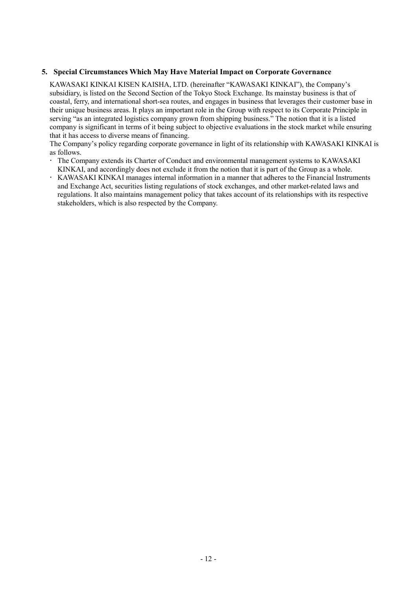### **5. Special Circumstances Which May Have Material Impact on Corporate Governance**

KAWASAKI KINKAI KISEN KAISHA, LTD. (hereinafter "KAWASAKI KINKAI"), the Company's subsidiary, is listed on the Second Section of the Tokyo Stock Exchange. Its mainstay business is that of coastal, ferry, and international short-sea routes, and engages in business that leverages their customer base in their unique business areas. It plays an important role in the Group with respect to its Corporate Principle in serving "as an integrated logistics company grown from shipping business." The notion that it is a listed company is significant in terms of it being subject to objective evaluations in the stock market while ensuring that it has access to diverse means of financing.

The Company's policy regarding corporate governance in light of its relationship with KAWASAKI KINKAI is as follows.

- The Company extends its Charter of Conduct and environmental management systems to KAWASAKI KINKAI, and accordingly does not exclude it from the notion that it is part of the Group as a whole.
- KAWASAKI KINKAI manages internal information in a manner that adheres to the Financial Instruments and Exchange Act, securities listing regulations of stock exchanges, and other market-related laws and regulations. It also maintains management policy that takes account of its relationships with its respective stakeholders, which is also respected by the Company.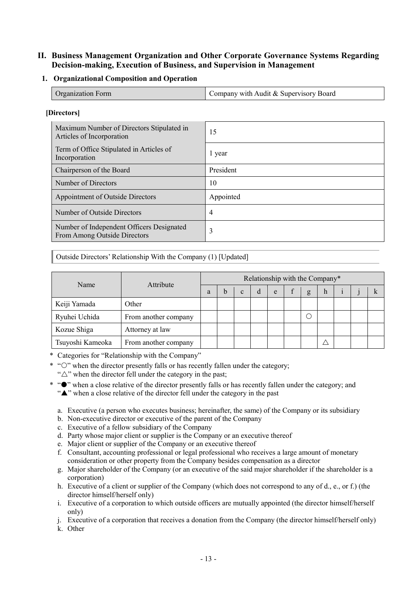# **II. Business Management Organization and Other Corporate Governance Systems Regarding Decision-making, Execution of Business, and Supervision in Management**

### **1. Organizational Composition and Operation**

| Organization Form | Company with Audit & Supervisory Board |
|-------------------|----------------------------------------|

#### **[Directors]**

| Maximum Number of Directors Stipulated in<br>Articles of Incorporation    | 15        |
|---------------------------------------------------------------------------|-----------|
| Term of Office Stipulated in Articles of<br>Incorporation                 | 1 year    |
| Chairperson of the Board                                                  | President |
| Number of Directors                                                       | 10        |
| Appointment of Outside Directors                                          | Appointed |
| Number of Outside Directors                                               | 4         |
| Number of Independent Officers Designated<br>From Among Outside Directors | 3         |

Outside Directors' Relationship With the Company (1) [Updated]

|                  |                      |   |              |   | Relationship with the Company* |   |   |  |  |
|------------------|----------------------|---|--------------|---|--------------------------------|---|---|--|--|
| Name             | Attribute            | a | $\mathbf{c}$ | d | e                              | g | h |  |  |
| Keiji Yamada     | Other                |   |              |   |                                |   |   |  |  |
| Ryuhei Uchida    | From another company |   |              |   |                                |   |   |  |  |
| Kozue Shiga      | Attorney at law      |   |              |   |                                |   |   |  |  |
| Tsuyoshi Kameoka | From another company |   |              |   |                                |   |   |  |  |

\* Categories for "Relationship with the Company"

 $*$  " $\circ$ " when the director presently falls or has recently fallen under the category;

" $\triangle$ " when the director fell under the category in the past;

- \* " $\bullet$ " when a close relative of the director presently falls or has recently fallen under the category; and "A" when a close relative of the director fell under the category in the past
	- a. Executive (a person who executes business; hereinafter, the same) of the Company or its subsidiary
	- b. Non-executive director or executive of the parent of the Company
	- c. Executive of a fellow subsidiary of the Company
	- d. Party whose major client or supplier is the Company or an executive thereof
	- e. Major client or supplier of the Company or an executive thereof
	- f. Consultant, accounting professional or legal professional who receives a large amount of monetary consideration or other property from the Company besides compensation as a director
	- g. Major shareholder of the Company (or an executive of the said major shareholder if the shareholder is a corporation)
	- h. Executive of a client or supplier of the Company (which does not correspond to any of d., e., or f.) (the director himself/herself only)
	- i. Executive of a corporation to which outside officers are mutually appointed (the director himself/herself only)
	- j. Executive of a corporation that receives a donation from the Company (the director himself/herself only)

k. Other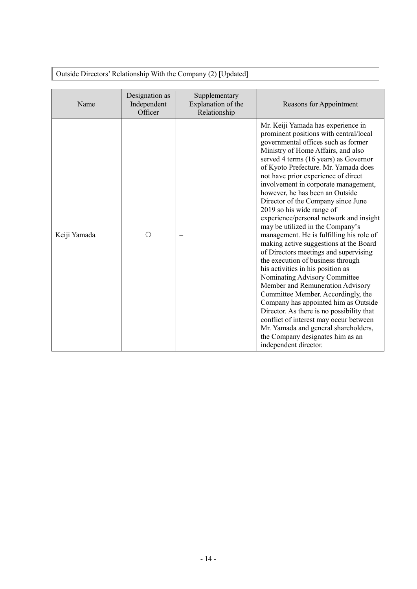| Name         | Designation as<br>Independent<br>Officer | Supplementary<br>Explanation of the<br>Relationship | Reasons for Appointment                                                                                                                                                                                                                                                                                                                                                                                                                                                                                                                                                                                                                                                                                                                                                                                                                                                                                                                                                                                                                                                |
|--------------|------------------------------------------|-----------------------------------------------------|------------------------------------------------------------------------------------------------------------------------------------------------------------------------------------------------------------------------------------------------------------------------------------------------------------------------------------------------------------------------------------------------------------------------------------------------------------------------------------------------------------------------------------------------------------------------------------------------------------------------------------------------------------------------------------------------------------------------------------------------------------------------------------------------------------------------------------------------------------------------------------------------------------------------------------------------------------------------------------------------------------------------------------------------------------------------|
| Keiji Yamada | ∩                                        |                                                     | Mr. Keiji Yamada has experience in<br>prominent positions with central/local<br>governmental offices such as former<br>Ministry of Home Affairs, and also<br>served 4 terms (16 years) as Governor<br>of Kyoto Prefecture. Mr. Yamada does<br>not have prior experience of direct<br>involvement in corporate management,<br>however, he has been an Outside<br>Director of the Company since June<br>2019 so his wide range of<br>experience/personal network and insight<br>may be utilized in the Company's<br>management. He is fulfilling his role of<br>making active suggestions at the Board<br>of Directors meetings and supervising<br>the execution of business through<br>his activities in his position as<br>Nominating Advisory Committee<br>Member and Remuneration Advisory<br>Committee Member. Accordingly, the<br>Company has appointed him as Outside<br>Director. As there is no possibility that<br>conflict of interest may occur between<br>Mr. Yamada and general shareholders,<br>the Company designates him as an<br>independent director. |

Outside Directors' Relationship With the Company (2) [Updated]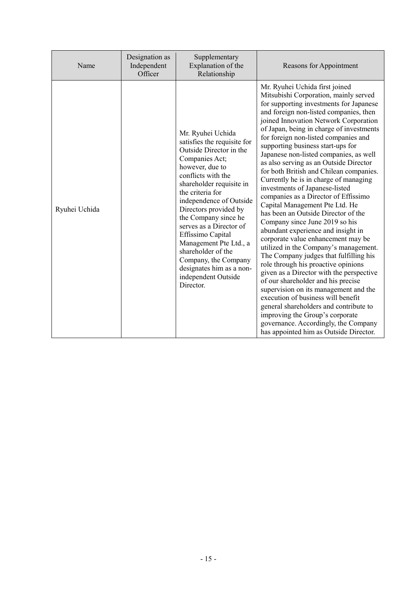| Name          | Designation as<br>Independent<br>Officer | Supplementary<br>Explanation of the<br>Relationship                                                                                                                                                                                                                                                                                                                                                                                                        | Reasons for Appointment                                                                                                                                                                                                                                                                                                                                                                                                                                                                                                                                                                                                                                                                                                                                                                                                                                                                                                                                                                                                                                                                                                                                                                                                           |
|---------------|------------------------------------------|------------------------------------------------------------------------------------------------------------------------------------------------------------------------------------------------------------------------------------------------------------------------------------------------------------------------------------------------------------------------------------------------------------------------------------------------------------|-----------------------------------------------------------------------------------------------------------------------------------------------------------------------------------------------------------------------------------------------------------------------------------------------------------------------------------------------------------------------------------------------------------------------------------------------------------------------------------------------------------------------------------------------------------------------------------------------------------------------------------------------------------------------------------------------------------------------------------------------------------------------------------------------------------------------------------------------------------------------------------------------------------------------------------------------------------------------------------------------------------------------------------------------------------------------------------------------------------------------------------------------------------------------------------------------------------------------------------|
| Ryuhei Uchida |                                          | Mr. Ryuhei Uchida<br>satisfies the requisite for<br>Outside Director in the<br>Companies Act;<br>however, due to<br>conflicts with the<br>shareholder requisite in<br>the criteria for<br>independence of Outside<br>Directors provided by<br>the Company since he<br>serves as a Director of<br>Effissimo Capital<br>Management Pte Ltd., a<br>shareholder of the<br>Company, the Company<br>designates him as a non-<br>independent Outside<br>Director. | Mr. Ryuhei Uchida first joined<br>Mitsubishi Corporation, mainly served<br>for supporting investments for Japanese<br>and foreign non-listed companies, then<br>joined Innovation Network Corporation<br>of Japan, being in charge of investments<br>for foreign non-listed companies and<br>supporting business start-ups for<br>Japanese non-listed companies, as well<br>as also serving as an Outside Director<br>for both British and Chilean companies.<br>Currently he is in charge of managing<br>investments of Japanese-listed<br>companies as a Director of Effissimo<br>Capital Management Pte Ltd. He<br>has been an Outside Director of the<br>Company since June 2019 so his<br>abundant experience and insight in<br>corporate value enhancement may be<br>utilized in the Company's management.<br>The Company judges that fulfilling his<br>role through his proactive opinions<br>given as a Director with the perspective<br>of our shareholder and his precise<br>supervision on its management and the<br>execution of business will benefit<br>general shareholders and contribute to<br>improving the Group's corporate<br>governance. Accordingly, the Company<br>has appointed him as Outside Director. |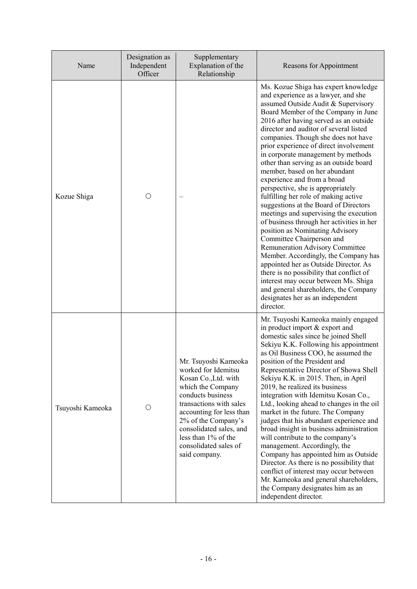| Name             | Designation as<br>Independent<br>Officer | Supplementary<br>Explanation of the<br>Relationship                                                                                                                                                                                                                                     | Reasons for Appointment                                                                                                                                                                                                                                                                                                                                                                                                                                                                                                                                                                                                                                                                                                                                                                                                                                                                                                                                                                                                                                       |
|------------------|------------------------------------------|-----------------------------------------------------------------------------------------------------------------------------------------------------------------------------------------------------------------------------------------------------------------------------------------|---------------------------------------------------------------------------------------------------------------------------------------------------------------------------------------------------------------------------------------------------------------------------------------------------------------------------------------------------------------------------------------------------------------------------------------------------------------------------------------------------------------------------------------------------------------------------------------------------------------------------------------------------------------------------------------------------------------------------------------------------------------------------------------------------------------------------------------------------------------------------------------------------------------------------------------------------------------------------------------------------------------------------------------------------------------|
| Kozue Shiga      | О                                        |                                                                                                                                                                                                                                                                                         | Ms. Kozue Shiga has expert knowledge<br>and experience as a lawyer, and she<br>assumed Outside Audit & Supervisory<br>Board Member of the Company in June<br>2016 after having served as an outside<br>director and auditor of several listed<br>companies. Though she does not have<br>prior experience of direct involvement<br>in corporate management by methods<br>other than serving as an outside board<br>member, based on her abundant<br>experience and from a broad<br>perspective, she is appropriately<br>fulfilling her role of making active<br>suggestions at the Board of Directors<br>meetings and supervising the execution<br>of business through her activities in her<br>position as Nominating Advisory<br>Committee Chairperson and<br>Remuneration Advisory Committee<br>Member. Accordingly, the Company has<br>appointed her as Outside Director. As<br>there is no possibility that conflict of<br>interest may occur between Ms. Shiga<br>and general shareholders, the Company<br>designates her as an independent<br>director. |
| Tsuyoshi Kameoka | O                                        | Mr. Tsuyoshi Kameoka<br>worked for Idemitsu<br>Kosan Co., Ltd. with<br>which the Company<br>conducts business<br>transactions with sales<br>accounting for less than<br>2% of the Company's<br>consolidated sales, and<br>less than 1% of the<br>consolidated sales of<br>said company. | Mr. Tsuyoshi Kameoka mainly engaged<br>in product import & export and<br>domestic sales since he joined Shell<br>Sekiyu K.K. Following his appointment<br>as Oil Business COO, he assumed the<br>position of the President and<br>Representative Director of Showa Shell<br>Sekiyu K.K. in 2015. Then, in April<br>2019, he realized its business<br>integration with Idemitsu Kosan Co.,<br>Ltd., looking ahead to changes in the oil<br>market in the future. The Company<br>judges that his abundant experience and<br>broad insight in business administration<br>will contribute to the company's<br>management. Accordingly, the<br>Company has appointed him as Outside<br>Director. As there is no possibility that<br>conflict of interest may occur between<br>Mr. Kameoka and general shareholders,<br>the Company designates him as an<br>independent director.                                                                                                                                                                                   |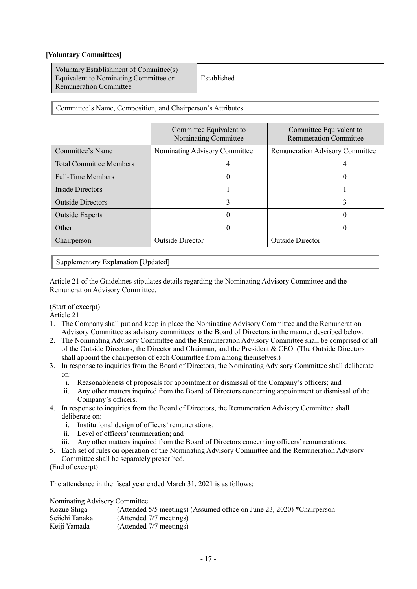### **[Voluntary Committees]**

| Voluntary Establishment of Committee(s)<br>Equivalent to Nominating Committee or<br>Remuneration Committee | Established |
|------------------------------------------------------------------------------------------------------------|-------------|
|------------------------------------------------------------------------------------------------------------|-------------|

Committee's Name, Composition, and Chairperson's Attributes

|                                | Committee Equivalent to<br>Nominating Committee | Committee Equivalent to<br><b>Remuneration Committee</b> |
|--------------------------------|-------------------------------------------------|----------------------------------------------------------|
| Committee's Name               | Nominating Advisory Committee                   | Remuneration Advisory Committee                          |
| <b>Total Committee Members</b> |                                                 |                                                          |
| <b>Full-Time Members</b>       |                                                 |                                                          |
| Inside Directors               |                                                 |                                                          |
| <b>Outside Directors</b>       |                                                 |                                                          |
| <b>Outside Experts</b>         |                                                 |                                                          |
| Other                          |                                                 |                                                          |
| Chairperson                    | <b>Outside Director</b>                         | <b>Outside Director</b>                                  |

Supplementary Explanation [Updated]

Article 21 of the Guidelines stipulates details regarding the Nominating Advisory Committee and the Remuneration Advisory Committee.

#### (Start of excerpt)

Article 21

- 1. The Company shall put and keep in place the Nominating Advisory Committee and the Remuneration Advisory Committee as advisory committees to the Board of Directors in the manner described below.
- 2. The Nominating Advisory Committee and the Remuneration Advisory Committee shall be comprised of all of the Outside Directors, the Director and Chairman, and the President & CEO. (The Outside Directors shall appoint the chairperson of each Committee from among themselves.)
- 3. In response to inquiries from the Board of Directors, the Nominating Advisory Committee shall deliberate on:
	- i. Reasonableness of proposals for appointment or dismissal of the Company's officers; and
	- ii. Any other matters inquired from the Board of Directors concerning appointment or dismissal of the Company's officers.
- 4. In response to inquiries from the Board of Directors, the Remuneration Advisory Committee shall deliberate on:
	- i. Institutional design of officers' remunerations;
	- ii. Level of officers' remuneration; and
	- iii. Any other matters inquired from the Board of Directors concerning officers' remunerations.
- 5. Each set of rules on operation of the Nominating Advisory Committee and the Remuneration Advisory Committee shall be separately prescribed.
- (End of excerpt)

The attendance in the fiscal year ended March 31, 2021 is as follows:

Nominating Advisory Committee<br>Kozue Shiga (Attended Kozue Shiga (Attended 5/5 meetings) (Assumed office on June 23, 2020) \*Chairperson<br>Seiichi Tanaka (Attended 7/7 meetings)  $(Attended 7/7 meetings)$ Keiji Yamada (Attended 7/7 meetings)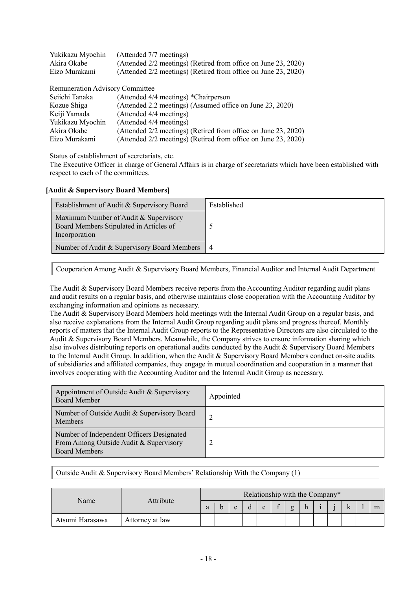| Yukikazu Myochin | (Attended 7/7 meetings)                                        |
|------------------|----------------------------------------------------------------|
| Akira Okabe      | (Attended 2/2 meetings) (Retired from office on June 23, 2020) |
| Eizo Murakami    | (Attended 2/2 meetings) (Retired from office on June 23, 2020) |
|                  |                                                                |

| Remuneration Advisory Committee |                                                                |
|---------------------------------|----------------------------------------------------------------|
| Seiichi Tanaka                  | (Attended 4/4 meetings) *Chairperson                           |
| Kozue Shiga                     | (Attended 2.2 meetings) (Assumed office on June 23, 2020)      |
| Keiji Yamada                    | (Attended 4/4 meetings)                                        |
| Yukikazu Myochin                | (Attended 4/4 meetings)                                        |
| Akira Okabe                     | (Attended 2/2 meetings) (Retired from office on June 23, 2020) |
| Eizo Murakami                   | (Attended 2/2 meetings) (Retired from office on June 23, 2020) |

Status of establishment of secretariats, etc.

The Executive Officer in charge of General Affairs is in charge of secretariats which have been established with respect to each of the committees.

#### **[Audit & Supervisory Board Members]**

| Establishment of Audit & Supervisory Board                                                        | Established |
|---------------------------------------------------------------------------------------------------|-------------|
| Maximum Number of Audit & Supervisory<br>Board Members Stipulated in Articles of<br>Incorporation |             |
| Number of Audit & Supervisory Board Members                                                       |             |

Cooperation Among Audit & Supervisory Board Members, Financial Auditor and Internal Audit Department

The Audit & Supervisory Board Members receive reports from the Accounting Auditor regarding audit plans and audit results on a regular basis, and otherwise maintains close cooperation with the Accounting Auditor by exchanging information and opinions as necessary.

The Audit & Supervisory Board Members hold meetings with the Internal Audit Group on a regular basis, and also receive explanations from the Internal Audit Group regarding audit plans and progress thereof. Monthly reports of matters that the Internal Audit Group reports to the Representative Directors are also circulated to the Audit & Supervisory Board Members. Meanwhile, the Company strives to ensure information sharing which also involves distributing reports on operational audits conducted by the Audit & Supervisory Board Members to the Internal Audit Group. In addition, when the Audit & Supervisory Board Members conduct on-site audits of subsidiaries and affiliated companies, they engage in mutual coordination and cooperation in a manner that involves cooperating with the Accounting Auditor and the Internal Audit Group as necessary.

| Appointment of Outside Audit & Supervisory<br><b>Board Member</b>                                           | Appointed |
|-------------------------------------------------------------------------------------------------------------|-----------|
| Number of Outside Audit & Supervisory Board<br><b>Members</b>                                               |           |
| Number of Independent Officers Designated<br>From Among Outside Audit & Supervisory<br><b>Board Members</b> |           |

Outside Audit & Supervisory Board Members' Relationship With the Company (1)

| Name            | Attribute       | Relationship with the Company* |  |  |  |   |  |   |  |  |  |  |  |   |
|-----------------|-----------------|--------------------------------|--|--|--|---|--|---|--|--|--|--|--|---|
|                 |                 |                                |  |  |  | e |  | g |  |  |  |  |  | m |
| Atsumi Harasawa | Attorney at law |                                |  |  |  |   |  |   |  |  |  |  |  |   |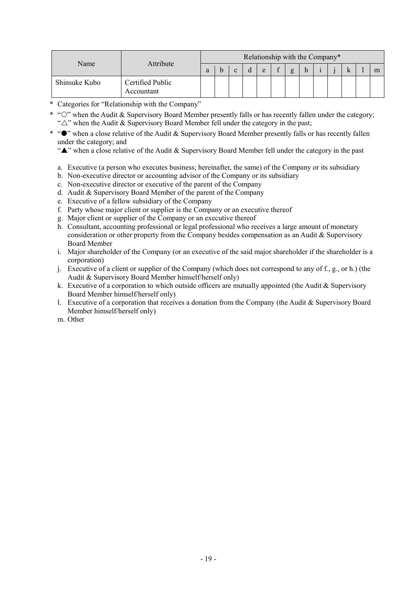| Name          | Attribute                      | Relationship with the Company* |  |  |  |   |  |   |  |  |  |  |  |
|---------------|--------------------------------|--------------------------------|--|--|--|---|--|---|--|--|--|--|--|
|               |                                |                                |  |  |  | e |  | g |  |  |  |  |  |
| Shinsuke Kubo | Certified Public<br>Accountant |                                |  |  |  |   |  |   |  |  |  |  |  |

- \* Categories for "Relationship with the Company"
- \* "O" when the Audit & Supervisory Board Member presently falls or has recently fallen under the category; " $\triangle$ " when the Audit & Supervisory Board Member fell under the category in the past;
- \* " $\bullet$ " when a close relative of the Audit & Supervisory Board Member presently falls or has recently fallen under the category; and

" $\triangle$ " when a close relative of the Audit & Supervisory Board Member fell under the category in the past

- a. Executive (a person who executes business; hereinafter, the same) of the Company or its subsidiary
- b. Non-executive director or accounting advisor of the Company or its subsidiary
- c. Non-executive director or executive of the parent of the Company
- d. Audit & Supervisory Board Member of the parent of the Company
- e. Executive of a fellow subsidiary of the Company
- f. Party whose major client or supplier is the Company or an executive thereof
- g. Major client or supplier of the Company or an executive thereof
- h. Consultant, accounting professional or legal professional who receives a large amount of monetary consideration or other property from the Company besides compensation as an Audit & Supervisory Board Member
- i. Major shareholder of the Company (or an executive of the said major shareholder if the shareholder is a corporation)
- j. Executive of a client or supplier of the Company (which does not correspond to any of f., g., or h.) (the Audit & Supervisory Board Member himself/herself only)
- k. Executive of a corporation to which outside officers are mutually appointed (the Audit & Supervisory Board Member himself/herself only)
- l. Executive of a corporation that receives a donation from the Company (the Audit & Supervisory Board Member himself/herself only)
- m. Other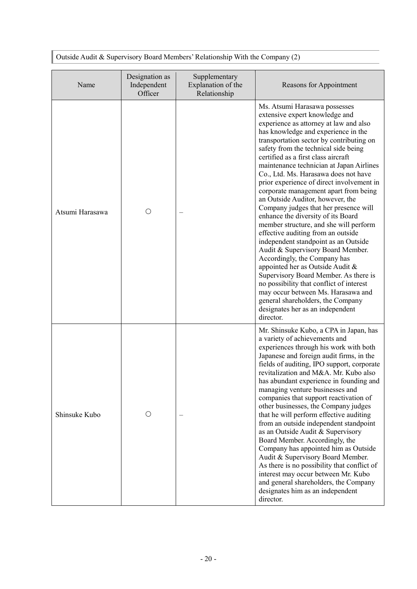Outside Audit & Supervisory Board Members' Relationship With the Company (2)

| Name            | Designation as<br>Independent<br>Officer | Supplementary<br>Explanation of the<br>Relationship | Reasons for Appointment                                                                                                                                                                                                                                                                                                                                                                                                                                                                                                                                                                                                                                                                                                                                                                                                                                                                                                                                                                                                    |
|-----------------|------------------------------------------|-----------------------------------------------------|----------------------------------------------------------------------------------------------------------------------------------------------------------------------------------------------------------------------------------------------------------------------------------------------------------------------------------------------------------------------------------------------------------------------------------------------------------------------------------------------------------------------------------------------------------------------------------------------------------------------------------------------------------------------------------------------------------------------------------------------------------------------------------------------------------------------------------------------------------------------------------------------------------------------------------------------------------------------------------------------------------------------------|
| Atsumi Harasawa | O                                        |                                                     | Ms. Atsumi Harasawa possesses<br>extensive expert knowledge and<br>experience as attorney at law and also<br>has knowledge and experience in the<br>transportation sector by contributing on<br>safety from the technical side being<br>certified as a first class aircraft<br>maintenance technician at Japan Airlines<br>Co., Ltd. Ms. Harasawa does not have<br>prior experience of direct involvement in<br>corporate management apart from being<br>an Outside Auditor, however, the<br>Company judges that her presence will<br>enhance the diversity of its Board<br>member structure, and she will perform<br>effective auditing from an outside<br>independent standpoint as an Outside<br>Audit & Supervisory Board Member.<br>Accordingly, the Company has<br>appointed her as Outside Audit &<br>Supervisory Board Member. As there is<br>no possibility that conflict of interest<br>may occur between Ms. Harasawa and<br>general shareholders, the Company<br>designates her as an independent<br>director. |
| Shinsuke Kubo   | O                                        |                                                     | Mr. Shinsuke Kubo, a CPA in Japan, has<br>a variety of achievements and<br>experiences through his work with both<br>Japanese and foreign audit firms, in the<br>fields of auditing, IPO support, corporate<br>revitalization and M&A. Mr. Kubo also<br>has abundant experience in founding and<br>managing venture businesses and<br>companies that support reactivation of<br>other businesses, the Company judges<br>that he will perform effective auditing<br>from an outside independent standpoint<br>as an Outside Audit & Supervisory<br>Board Member. Accordingly, the<br>Company has appointed him as Outside<br>Audit & Supervisory Board Member.<br>As there is no possibility that conflict of<br>interest may occur between Mr. Kubo<br>and general shareholders, the Company<br>designates him as an independent<br>director.                                                                                                                                                                              |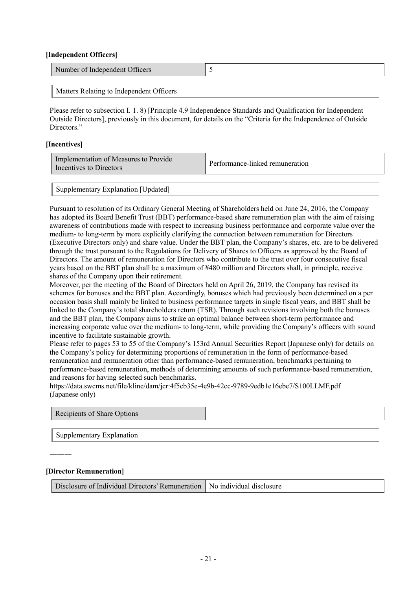#### **[Independent Officers]**

| Number of Independent Officers |  |
|--------------------------------|--|
|                                |  |

Matters Relating to Independent Officers

Please refer to subsection I. 1. 8) [Principle 4.9 Independence Standards and Qualification for Independent Outside Directors], previously in this document, for details on the "Criteria for the Independence of Outside Directors<sup>"</sup>

#### **[Incentives]**

| Implementation of Measures to Provide<br>Incentives to Directors | Performance-linked remuneration |
|------------------------------------------------------------------|---------------------------------|
|                                                                  |                                 |

Supplementary Explanation [Updated]

Pursuant to resolution of its Ordinary General Meeting of Shareholders held on June 24, 2016, the Company has adopted its Board Benefit Trust (BBT) performance-based share remuneration plan with the aim of raising awareness of contributions made with respect to increasing business performance and corporate value over the medium- to long-term by more explicitly clarifying the connection between remuneration for Directors (Executive Directors only) and share value. Under the BBT plan, the Company's shares, etc. are to be delivered through the trust pursuant to the Regulations for Delivery of Shares to Officers as approved by the Board of Directors. The amount of remuneration for Directors who contribute to the trust over four consecutive fiscal years based on the BBT plan shall be a maximum of ¥480 million and Directors shall, in principle, receive shares of the Company upon their retirement.

Moreover, per the meeting of the Board of Directors held on April 26, 2019, the Company has revised its schemes for bonuses and the BBT plan. Accordingly, bonuses which had previously been determined on a per occasion basis shall mainly be linked to business performance targets in single fiscal years, and BBT shall be linked to the Company's total shareholders return (TSR). Through such revisions involving both the bonuses and the BBT plan, the Company aims to strike an optimal balance between short-term performance and increasing corporate value over the medium- to long-term, while providing the Company's officers with sound incentive to facilitate sustainable growth.

Please refer to pages 53 to 55 of the Company's 153rd Annual Securities Report (Japanese only) for details on the Company's policy for determining proportions of remuneration in the form of performance-based remuneration and remuneration other than performance-based remuneration, benchmarks pertaining to performance-based remuneration, methods of determining amounts of such performance-based remuneration, and reasons for having selected such benchmarks.

https://data.swcms.net/file/kline/dam/jcr:4f5cb35e-4e9b-42cc-9789-9edb1e16ebe7/S100LLMF.pdf (Japanese only)

| Recipients of Share Options |  |
|-----------------------------|--|
|-----------------------------|--|

Supplementary Explanation

#### **[Director Remuneration]**

―――

Disclosure of Individual Directors' Remuneration | No individual disclosure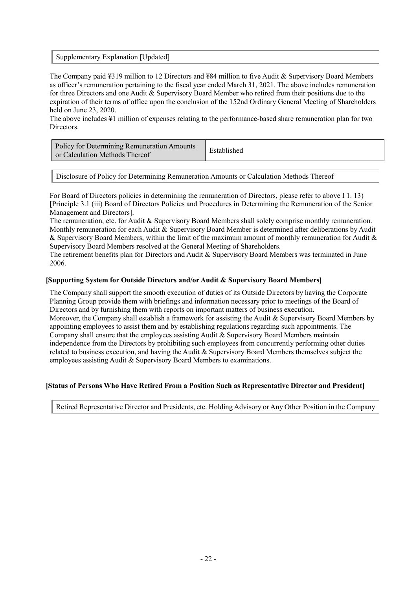#### Supplementary Explanation [Updated]

The Company paid ¥319 million to 12 Directors and ¥84 million to five Audit & Supervisory Board Members as officer's remuneration pertaining to the fiscal year ended March 31, 2021. The above includes remuneration for three Directors and one Audit & Supervisory Board Member who retired from their positions due to the expiration of their terms of office upon the conclusion of the 152nd Ordinary General Meeting of Shareholders held on June 23, 2020.

The above includes ¥1 million of expenses relating to the performance-based share remuneration plan for two Directors.

| Policy for Determining Remuneration Amounts<br>or Calculation Methods Thereof | Established |
|-------------------------------------------------------------------------------|-------------|
|-------------------------------------------------------------------------------|-------------|

Disclosure of Policy for Determining Remuneration Amounts or Calculation Methods Thereof

For Board of Directors policies in determining the remuneration of Directors, please refer to above I 1. 13) [Principle 3.1 (iii) Board of Directors Policies and Procedures in Determining the Remuneration of the Senior Management and Directors].

The remuneration, etc. for Audit & Supervisory Board Members shall solely comprise monthly remuneration. Monthly remuneration for each Audit & Supervisory Board Member is determined after deliberations by Audit & Supervisory Board Members, within the limit of the maximum amount of monthly remuneration for Audit & Supervisory Board Members resolved at the General Meeting of Shareholders.

The retirement benefits plan for Directors and Audit & Supervisory Board Members was terminated in June 2006.

#### **[Supporting System for Outside Directors and/or Audit & Supervisory Board Members]**

The Company shall support the smooth execution of duties of its Outside Directors by having the Corporate Planning Group provide them with briefings and information necessary prior to meetings of the Board of Directors and by furnishing them with reports on important matters of business execution. Moreover, the Company shall establish a framework for assisting the Audit & Supervisory Board Members by appointing employees to assist them and by establishing regulations regarding such appointments. The Company shall ensure that the employees assisting Audit  $&$  Supervisory Board Members maintain independence from the Directors by prohibiting such employees from concurrently performing other duties related to business execution, and having the Audit & Supervisory Board Members themselves subject the employees assisting Audit & Supervisory Board Members to examinations.

#### **[Status of Persons Who Have Retired From a Position Such as Representative Director and President]**

Retired Representative Director and Presidents, etc. Holding Advisory or Any Other Position in the Company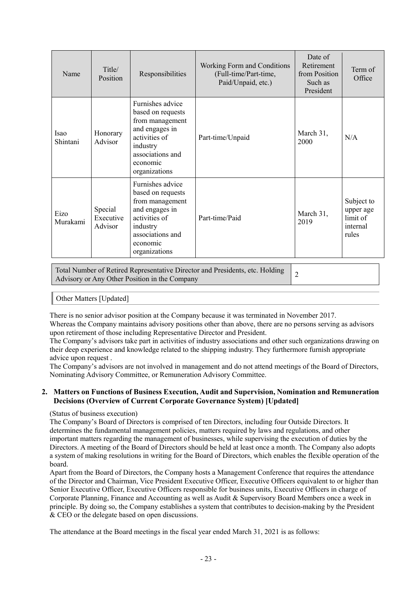| Name             | Title/<br>Position              | Responsibilities                                                                                                                                         | Working Form and Conditions<br>(Full-time/Part-time,<br>Paid/Unpaid, etc.) | Date of<br>Retirement<br>from Position<br>Such as<br>President | Term of<br>Office                                        |
|------------------|---------------------------------|----------------------------------------------------------------------------------------------------------------------------------------------------------|----------------------------------------------------------------------------|----------------------------------------------------------------|----------------------------------------------------------|
| Isao<br>Shintani | Honorary<br>Advisor             | Furnishes advice<br>based on requests<br>from management<br>and engages in<br>activities of<br>industry<br>associations and<br>economic<br>organizations | Part-time/Unpaid                                                           | March 31,<br>2000                                              | N/A                                                      |
| Eizo<br>Murakami | Special<br>Executive<br>Advisor | Furnishes advice<br>based on requests<br>from management<br>and engages in<br>activities of<br>industry<br>associations and<br>economic<br>organizations | Part-time/Paid                                                             | March 31,<br>2019                                              | Subject to<br>upper age<br>limit of<br>internal<br>rules |

Total Number of Retired Representative Director and Presidents, etc. Holding I otal Number of Retired Representative Director and Presidents, etc. Holding 2<br>Advisory or Any Other Position in the Company

Other Matters [Updated]

There is no senior advisor position at the Company because it was terminated in November 2017.

Whereas the Company maintains advisory positions other than above, there are no persons serving as advisors upon retirement of those including Representative Director and President.

The Company's advisors take part in activities of industry associations and other such organizations drawing on their deep experience and knowledge related to the shipping industry. They furthermore furnish appropriate advice upon request .

The Company's advisors are not involved in management and do not attend meetings of the Board of Directors, Nominating Advisory Committee, or Remuneration Advisory Committee.

### **2. Matters on Functions of Business Execution, Audit and Supervision, Nomination and Remuneration Decisions (Overview of Current Corporate Governance System) [Updated]**

#### (Status of business execution)

The Company's Board of Directors is comprised of ten Directors, including four Outside Directors. It determines the fundamental management policies, matters required by laws and regulations, and other important matters regarding the management of businesses, while supervising the execution of duties by the Directors. A meeting of the Board of Directors should be held at least once a month. The Company also adopts a system of making resolutions in writing for the Board of Directors, which enables the flexible operation of the board.

Apart from the Board of Directors, the Company hosts a Management Conference that requires the attendance of the Director and Chairman, Vice President Executive Officer, Executive Officers equivalent to or higher than Senior Executive Officer, Executive Officers responsible for business units, Executive Officers in charge of Corporate Planning, Finance and Accounting as well as Audit & Supervisory Board Members once a week in principle. By doing so, the Company establishes a system that contributes to decision-making by the President & CEO or the delegate based on open discussions.

The attendance at the Board meetings in the fiscal year ended March 31, 2021 is as follows: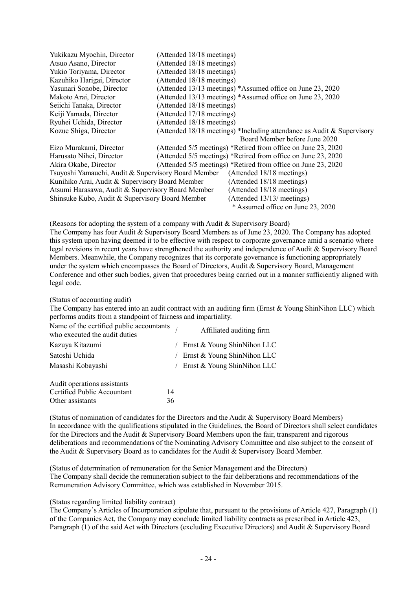| Yukikazu Myochin, Director                          | (Attended 18/18 meetings)                                              |
|-----------------------------------------------------|------------------------------------------------------------------------|
| Atsuo Asano, Director                               | (Attended 18/18 meetings)                                              |
| Yukio Toriyama, Director                            | (Attended 18/18 meetings)                                              |
| Kazuhiko Harigai, Director                          | (Attended 18/18 meetings)                                              |
| Yasunari Sonobe, Director                           | (Attended 13/13 meetings) *Assumed office on June 23, 2020             |
| Makoto Arai, Director                               | (Attended 13/13 meetings) *Assumed office on June 23, 2020             |
| Seiichi Tanaka, Director                            | (Attended 18/18 meetings)                                              |
| Keiji Yamada, Director                              | (Attended 17/18 meetings)                                              |
| Ryuhei Uchida, Director                             | (Attended 18/18 meetings)                                              |
| Kozue Shiga, Director                               | (Attended 18/18 meetings) *Including attendance as Audit & Supervisory |
|                                                     | Board Member before June 2020                                          |
| Eizo Murakami, Director                             | (Attended 5/5 meetings) *Retired from office on June 23, 2020          |
| Harusato Nihei, Director                            | (Attended 5/5 meetings) *Retired from office on June 23, 2020          |
| Akira Okabe, Director                               | (Attended 5/5 meetings) *Retired from office on June 23, 2020          |
| Tsuyoshi Yamauchi, Audit & Supervisory Board Member | (Attended 18/18 meetings)                                              |
| Kunihiko Arai, Audit & Supervisory Board Member     | (Attended 18/18 meetings)                                              |
| Atsumi Harasawa, Audit & Supervisory Board Member   | (Attended 18/18 meetings)                                              |
| Shinsuke Kubo, Audit & Supervisory Board Member     | (Attended 13/13/ meetings)                                             |
|                                                     | * Assumed office on June 23, 2020                                      |

(Reasons for adopting the system of a company with Audit & Supervisory Board) The Company has four Audit & Supervisory Board Members as of June 23, 2020. The Company has adopted this system upon having deemed it to be effective with respect to corporate governance amid a scenario where legal revisions in recent years have strengthened the authority and independence of Audit & Supervisory Board Members. Meanwhile, the Company recognizes that its corporate governance is functioning appropriately under the system which encompasses the Board of Directors, Audit & Supervisory Board, Management Conference and other such bodies, given that procedures being carried out in a manner sufficiently aligned with legal code.

(Status of accounting audit)

The Company has entered into an audit contract with an auditing firm (Ernst  $&$  Young ShinNihon LLC) which performs audits from a standpoint of fairness and impartiality.

| Name of the certified public accountants $\frac{1}{1}$<br>who executed the audit duties | Affiliated auditing firm              |
|-----------------------------------------------------------------------------------------|---------------------------------------|
| Kazuya Kitazumi                                                                         | $/$ Ernst & Young ShinNihon LLC       |
| Satoshi Uchida                                                                          | $\angle$ Ernst & Young Shin Nihon LLC |
| Masashi Kobayashi                                                                       | $\angle$ Ernst & Young ShinNihon LLC  |
|                                                                                         |                                       |

| Audit operations assistants |    |
|-----------------------------|----|
| Certified Public Accountant | 14 |
| Other assistants            | 36 |

(Status of nomination of candidates for the Directors and the Audit & Supervisory Board Members) In accordance with the qualifications stipulated in the Guidelines, the Board of Directors shall select candidates for the Directors and the Audit & Supervisory Board Members upon the fair, transparent and rigorous deliberations and recommendations of the Nominating Advisory Committee and also subject to the consent of the Audit & Supervisory Board as to candidates for the Audit & Supervisory Board Member.

(Status of determination of remuneration for the Senior Management and the Directors) The Company shall decide the remuneration subject to the fair deliberations and recommendations of the Remuneration Advisory Committee, which was established in November 2015.

#### (Status regarding limited liability contract)

The Company's Articles of Incorporation stipulate that, pursuant to the provisions of Article 427, Paragraph (1) of the Companies Act, the Company may conclude limited liability contracts as prescribed in Article 423, Paragraph (1) of the said Act with Directors (excluding Executive Directors) and Audit & Supervisory Board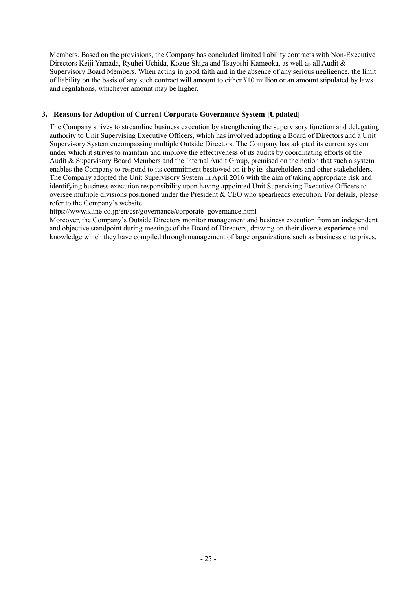Members. Based on the provisions, the Company has concluded limited liability contracts with Non-Executive Directors Keiji Yamada, Ryuhei Uchida, Kozue Shiga and Tsuyoshi Kameoka, as well as all Audit & Supervisory Board Members. When acting in good faith and in the absence of any serious negligence, the limit of liability on the basis of any such contract will amount to either ¥10 million or an amount stipulated by laws and regulations, whichever amount may be higher.

# **3. Reasons for Adoption of Current Corporate Governance System [Updated]**

The Company strives to streamline business execution by strengthening the supervisory function and delegating authority to Unit Supervising Executive Officers, which has involved adopting a Board of Directors and a Unit Supervisory System encompassing multiple Outside Directors. The Company has adopted its current system under which it strives to maintain and improve the effectiveness of its audits by coordinating efforts of the Audit & Supervisory Board Members and the Internal Audit Group, premised on the notion that such a system enables the Company to respond to its commitment bestowed on it by its shareholders and other stakeholders. The Company adopted the Unit Supervisory System in April 2016 with the aim of taking appropriate risk and identifying business execution responsibility upon having appointed Unit Supervising Executive Officers to oversee multiple divisions positioned under the President  $&$  CEO who spearheads execution. For details, please refer to the Company's website.

https://www.kline.co.jp/en/csr/governance/corporate\_governance.html

Moreover, the Company's Outside Directors monitor management and business execution from an independent and objective standpoint during meetings of the Board of Directors, drawing on their diverse experience and knowledge which they have compiled through management of large organizations such as business enterprises.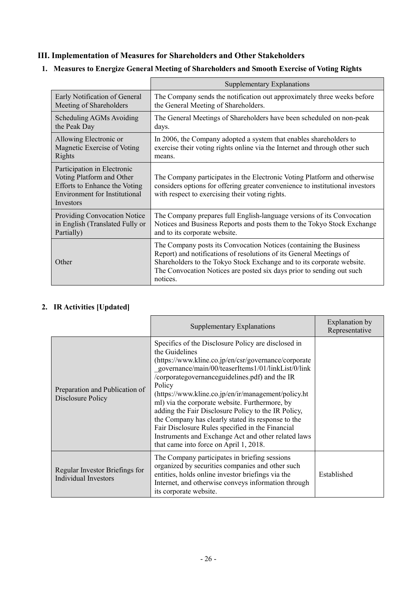# **III. Implementation of Measures for Shareholders and Other Stakeholders**

|                                                                                                                                                | <b>Supplementary Explanations</b>                                                                                                                                                                                                                                                                        |
|------------------------------------------------------------------------------------------------------------------------------------------------|----------------------------------------------------------------------------------------------------------------------------------------------------------------------------------------------------------------------------------------------------------------------------------------------------------|
| Early Notification of General                                                                                                                  | The Company sends the notification out approximately three weeks before                                                                                                                                                                                                                                  |
| Meeting of Shareholders                                                                                                                        | the General Meeting of Shareholders.                                                                                                                                                                                                                                                                     |
| Scheduling AGMs Avoiding                                                                                                                       | The General Meetings of Shareholders have been scheduled on non-peak                                                                                                                                                                                                                                     |
| the Peak Day                                                                                                                                   | days.                                                                                                                                                                                                                                                                                                    |
| Allowing Electronic or                                                                                                                         | In 2006, the Company adopted a system that enables shareholders to                                                                                                                                                                                                                                       |
| Magnetic Exercise of Voting                                                                                                                    | exercise their voting rights online via the Internet and through other such                                                                                                                                                                                                                              |
| Rights                                                                                                                                         | means.                                                                                                                                                                                                                                                                                                   |
| Participation in Electronic<br>Voting Platform and Other<br>Efforts to Enhance the Voting<br><b>Environment</b> for Institutional<br>Investors | The Company participates in the Electronic Voting Platform and otherwise<br>considers options for offering greater convenience to institutional investors<br>with respect to exercising their voting rights.                                                                                             |
| <b>Providing Convocation Notice</b>                                                                                                            | The Company prepares full English-language versions of its Convocation                                                                                                                                                                                                                                   |
| in English (Translated Fully or                                                                                                                | Notices and Business Reports and posts them to the Tokyo Stock Exchange                                                                                                                                                                                                                                  |
| Partially)                                                                                                                                     | and to its corporate website.                                                                                                                                                                                                                                                                            |
| Other                                                                                                                                          | The Company posts its Convocation Notices (containing the Business<br>Report) and notifications of resolutions of its General Meetings of<br>Shareholders to the Tokyo Stock Exchange and to its corporate website.<br>The Convocation Notices are posted six days prior to sending out such<br>notices. |

# **1. Measures to Energize General Meeting of Shareholders and Smooth Exercise of Voting Rights**

# **2. IR Activities [Updated]**

|                                                        | Supplementary Explanations                                                                                                                                                                                                                                                                                                                                                                                                                                                                                                                                                                                                 | Explanation by<br>Representative |
|--------------------------------------------------------|----------------------------------------------------------------------------------------------------------------------------------------------------------------------------------------------------------------------------------------------------------------------------------------------------------------------------------------------------------------------------------------------------------------------------------------------------------------------------------------------------------------------------------------------------------------------------------------------------------------------------|----------------------------------|
| Preparation and Publication of<br>Disclosure Policy    | Specifics of the Disclosure Policy are disclosed in<br>the Guidelines<br>(https://www.kline.co.jp/en/csr/governance/corporate<br>governance/main/00/teaserItems1/01/linkList/0/link<br>/corporategovernanceguidelines.pdf) and the IR<br>Policy<br>(https://www.kline.co.jp/en/ir/management/policy.ht<br>ml) via the corporate website. Furthermore, by<br>adding the Fair Disclosure Policy to the IR Policy,<br>the Company has clearly stated its response to the<br>Fair Disclosure Rules specified in the Financial<br>Instruments and Exchange Act and other related laws<br>that came into force on April 1, 2018. |                                  |
| Regular Investor Briefings for<br>Individual Investors | The Company participates in briefing sessions<br>organized by securities companies and other such<br>entities, holds online investor briefings via the<br>Internet, and otherwise conveys information through<br>its corporate website.                                                                                                                                                                                                                                                                                                                                                                                    | Established                      |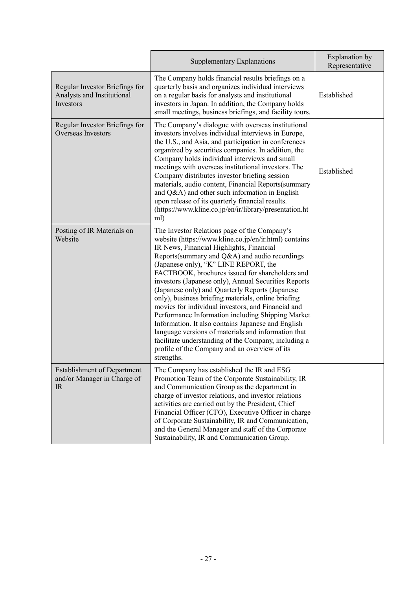|                                                                                  | <b>Supplementary Explanations</b>                                                                                                                                                                                                                                                                                                                                                                                                                                                                                                                                                                                                                                                                                                                                                                               | <b>Explanation</b> by<br>Representative |
|----------------------------------------------------------------------------------|-----------------------------------------------------------------------------------------------------------------------------------------------------------------------------------------------------------------------------------------------------------------------------------------------------------------------------------------------------------------------------------------------------------------------------------------------------------------------------------------------------------------------------------------------------------------------------------------------------------------------------------------------------------------------------------------------------------------------------------------------------------------------------------------------------------------|-----------------------------------------|
| Regular Investor Briefings for<br>Analysts and Institutional<br><b>Investors</b> | The Company holds financial results briefings on a<br>quarterly basis and organizes individual interviews<br>on a regular basis for analysts and institutional<br>investors in Japan. In addition, the Company holds<br>small meetings, business briefings, and facility tours.                                                                                                                                                                                                                                                                                                                                                                                                                                                                                                                                 | Established                             |
| Regular Investor Briefings for<br><b>Overseas Investors</b>                      | The Company's dialogue with overseas institutional<br>investors involves individual interviews in Europe,<br>the U.S., and Asia, and participation in conferences<br>organized by securities companies. In addition, the<br>Company holds individual interviews and small<br>meetings with overseas institutional investors. The<br>Company distributes investor briefing session<br>materials, audio content, Financial Reports(summary<br>and Q&A) and other such information in English<br>upon release of its quarterly financial results.<br>(https://www.kline.co.jp/en/ir/library/presentation.ht<br>ml)                                                                                                                                                                                                 | Established                             |
| Posting of IR Materials on<br>Website                                            | The Investor Relations page of the Company's<br>website (https://www.kline.co.jp/en/ir.html) contains<br>IR News, Financial Highlights, Financial<br>Reports(summary and Q&A) and audio recordings<br>(Japanese only), "K" LINE REPORT, the<br>FACTBOOK, brochures issued for shareholders and<br>investors (Japanese only), Annual Securities Reports<br>(Japanese only) and Quarterly Reports (Japanese<br>only), business briefing materials, online briefing<br>movies for individual investors, and Financial and<br>Performance Information including Shipping Market<br>Information. It also contains Japanese and English<br>language versions of materials and information that<br>facilitate understanding of the Company, including a<br>profile of the Company and an overview of its<br>strengths. |                                         |
| <b>Establishment of Department</b><br>and/or Manager in Charge of<br>$_{\rm IR}$ | The Company has established the IR and ESG<br>Promotion Team of the Corporate Sustainability, IR<br>and Communication Group as the department in<br>charge of investor relations, and investor relations<br>activities are carried out by the President, Chief<br>Financial Officer (CFO), Executive Officer in charge<br>of Corporate Sustainability, IR and Communication,<br>and the General Manager and staff of the Corporate<br>Sustainability, IR and Communication Group.                                                                                                                                                                                                                                                                                                                               |                                         |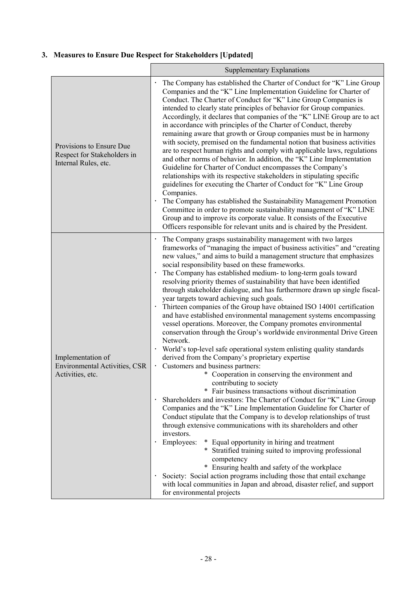# **3. Measures to Ensure Due Respect for Stakeholders [Updated]**

|                                                                                 | <b>Supplementary Explanations</b>                                                                                                                                                                                                                                                                                                                                                                                                                                                                                                                                                                                                                                                                                                                                                                                                                                                                                                                                                                                                                                                                                                                                                                                                                                                                                                                                                                                                                                                                                                                                                                                                                                                                                                                                                                                                           |  |
|---------------------------------------------------------------------------------|---------------------------------------------------------------------------------------------------------------------------------------------------------------------------------------------------------------------------------------------------------------------------------------------------------------------------------------------------------------------------------------------------------------------------------------------------------------------------------------------------------------------------------------------------------------------------------------------------------------------------------------------------------------------------------------------------------------------------------------------------------------------------------------------------------------------------------------------------------------------------------------------------------------------------------------------------------------------------------------------------------------------------------------------------------------------------------------------------------------------------------------------------------------------------------------------------------------------------------------------------------------------------------------------------------------------------------------------------------------------------------------------------------------------------------------------------------------------------------------------------------------------------------------------------------------------------------------------------------------------------------------------------------------------------------------------------------------------------------------------------------------------------------------------------------------------------------------------|--|
| Provisions to Ensure Due<br>Respect for Stakeholders in<br>Internal Rules, etc. | The Company has established the Charter of Conduct for "K" Line Group<br>Companies and the "K" Line Implementation Guideline for Charter of<br>Conduct. The Charter of Conduct for "K" Line Group Companies is<br>intended to clearly state principles of behavior for Group companies.<br>Accordingly, it declares that companies of the "K" LINE Group are to act<br>in accordance with principles of the Charter of Conduct, thereby<br>remaining aware that growth or Group companies must be in harmony<br>with society, premised on the fundamental notion that business activities<br>are to respect human rights and comply with applicable laws, regulations<br>and other norms of behavior. In addition, the "K" Line Implementation<br>Guideline for Charter of Conduct encompasses the Company's<br>relationships with its respective stakeholders in stipulating specific<br>guidelines for executing the Charter of Conduct for "K" Line Group<br>Companies.<br>· The Company has established the Sustainability Management Promotion<br>Committee in order to promote sustainability management of "K" LINE<br>Group and to improve its corporate value. It consists of the Executive<br>Officers responsible for relevant units and is chaired by the President.                                                                                                                                                                                                                                                                                                                                                                                                                                                                                                                                                            |  |
| Implementation of<br><b>Environmental Activities, CSR</b><br>Activities, etc.   | The Company grasps sustainability management with two larges<br>frameworks of "managing the impact of business activities" and "creating<br>new values," and aims to build a management structure that emphasizes<br>social responsibility based on these frameworks.<br>The Company has established medium- to long-term goals toward<br>resolving priority themes of sustainability that have been identified<br>through stakeholder dialogue, and has furthermore drawn up single fiscal-<br>year targets toward achieving such goals.<br>Thirteen companies of the Group have obtained ISO 14001 certification<br>and have established environmental management systems encompassing<br>vessel operations. Moreover, the Company promotes environmental<br>conservation through the Group's worldwide environmental Drive Green<br>Network.<br>· World's top-level safe operational system enlisting quality standards<br>derived from the Company's proprietary expertise<br>Customers and business partners:<br>* Cooperation in conserving the environment and<br>contributing to society<br>Fair business transactions without discrimination<br>· Shareholders and investors: The Charter of Conduct for "K" Line Group<br>Companies and the "K" Line Implementation Guideline for Charter of<br>Conduct stipulate that the Company is to develop relationships of trust<br>through extensive communications with its shareholders and other<br>investors.<br>Employees:<br>* Equal opportunity in hiring and treatment<br>* Stratified training suited to improving professional<br>competency<br>* Ensuring health and safety of the workplace<br>Society: Social action programs including those that entail exchange<br>with local communities in Japan and abroad, disaster relief, and support<br>for environmental projects |  |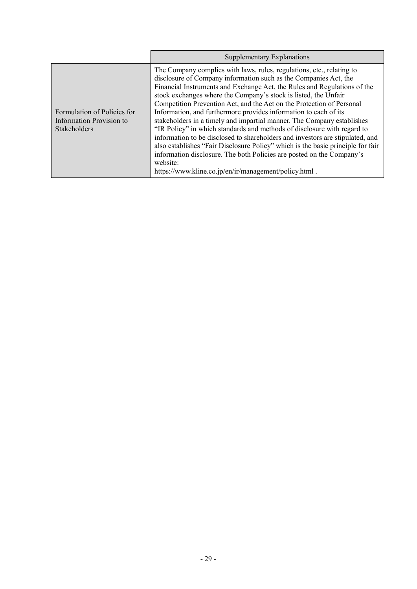|                                                                         | <b>Supplementary Explanations</b>                                                                                                                                                                                                                                                                                                                                                                                                                                                                                                                                                                                                                                                                                                                                                                                                                                                                            |
|-------------------------------------------------------------------------|--------------------------------------------------------------------------------------------------------------------------------------------------------------------------------------------------------------------------------------------------------------------------------------------------------------------------------------------------------------------------------------------------------------------------------------------------------------------------------------------------------------------------------------------------------------------------------------------------------------------------------------------------------------------------------------------------------------------------------------------------------------------------------------------------------------------------------------------------------------------------------------------------------------|
| Formulation of Policies for<br>Information Provision to<br>Stakeholders | The Company complies with laws, rules, regulations, etc., relating to<br>disclosure of Company information such as the Companies Act, the<br>Financial Instruments and Exchange Act, the Rules and Regulations of the<br>stock exchanges where the Company's stock is listed, the Unfair<br>Competition Prevention Act, and the Act on the Protection of Personal<br>Information, and furthermore provides information to each of its<br>stakeholders in a timely and impartial manner. The Company establishes<br>"IR Policy" in which standards and methods of disclosure with regard to<br>information to be disclosed to shareholders and investors are stipulated, and<br>also establishes "Fair Disclosure Policy" which is the basic principle for fair<br>information disclosure. The both Policies are posted on the Company's<br>website:<br>https://www.kline.co.jp/en/ir/management/policy.html. |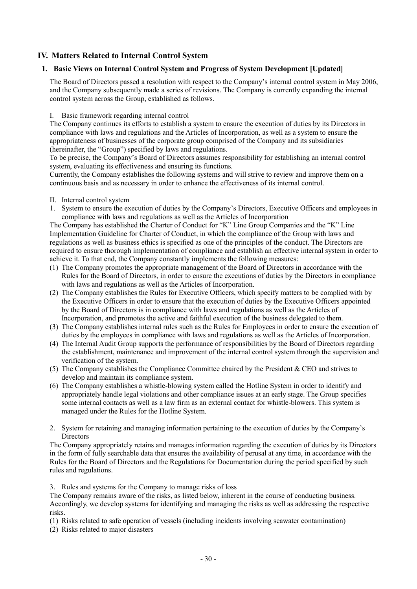# **IV. Matters Related to Internal Control System**

### **1. Basic Views on Internal Control System and Progress of System Development [Updated]**

The Board of Directors passed a resolution with respect to the Company's internal control system in May 2006, and the Company subsequently made a series of revisions. The Company is currently expanding the internal control system across the Group, established as follows.

#### I. Basic framework regarding internal control

The Company continues its efforts to establish a system to ensure the execution of duties by its Directors in compliance with laws and regulations and the Articles of Incorporation, as well as a system to ensure the appropriateness of businesses of the corporate group comprised of the Company and its subsidiaries (hereinafter, the "Group") specified by laws and regulations.

To be precise, the Company's Board of Directors assumes responsibility for establishing an internal control system, evaluating its effectiveness and ensuring its functions.

Currently, the Company establishes the following systems and will strive to review and improve them on a continuous basis and as necessary in order to enhance the effectiveness of its internal control.

- II. Internal control system
- 1. System to ensure the execution of duties by the Company's Directors, Executive Officers and employees in compliance with laws and regulations as well as the Articles of Incorporation

The Company has established the Charter of Conduct for "K" Line Group Companies and the "K" Line Implementation Guideline for Charter of Conduct, in which the compliance of the Group with laws and regulations as well as business ethics is specified as one of the principles of the conduct. The Directors are required to ensure thorough implementation of compliance and establish an effective internal system in order to achieve it. To that end, the Company constantly implements the following measures:

- (1) The Company promotes the appropriate management of the Board of Directors in accordance with the Rules for the Board of Directors, in order to ensure the executions of duties by the Directors in compliance with laws and regulations as well as the Articles of Incorporation.
- (2) The Company establishes the Rules for Executive Officers, which specify matters to be complied with by the Executive Officers in order to ensure that the execution of duties by the Executive Officers appointed by the Board of Directors is in compliance with laws and regulations as well as the Articles of Incorporation, and promotes the active and faithful execution of the business delegated to them.
- (3) The Company establishes internal rules such as the Rules for Employees in order to ensure the execution of duties by the employees in compliance with laws and regulations as well as the Articles of Incorporation.
- (4) The Internal Audit Group supports the performance of responsibilities by the Board of Directors regarding the establishment, maintenance and improvement of the internal control system through the supervision and verification of the system.
- (5) The Company establishes the Compliance Committee chaired by the President & CEO and strives to develop and maintain its compliance system.
- (6) The Company establishes a whistle-blowing system called the Hotline System in order to identify and appropriately handle legal violations and other compliance issues at an early stage. The Group specifies some internal contacts as well as a law firm as an external contact for whistle-blowers. This system is managed under the Rules for the Hotline System.
- 2. System for retaining and managing information pertaining to the execution of duties by the Company's **Directors**

The Company appropriately retains and manages information regarding the execution of duties by its Directors in the form of fully searchable data that ensures the availability of perusal at any time, in accordance with the Rules for the Board of Directors and the Regulations for Documentation during the period specified by such rules and regulations.

3. Rules and systems for the Company to manage risks of loss

The Company remains aware of the risks, as listed below, inherent in the course of conducting business. Accordingly, we develop systems for identifying and managing the risks as well as addressing the respective risks.

(1) Risks related to safe operation of vessels (including incidents involving seawater contamination)

(2) Risks related to major disasters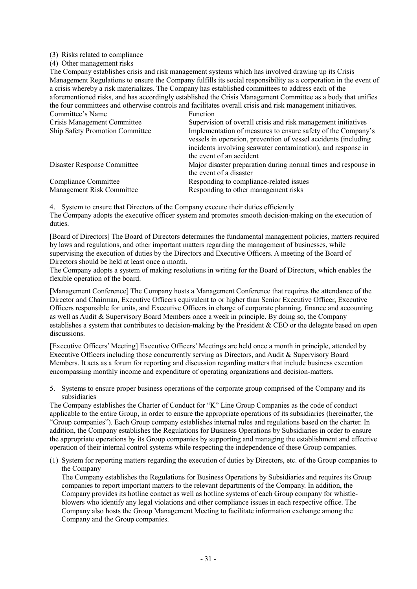#### (3) Risks related to compliance

(4) Other management risks

The Company establishes crisis and risk management systems which has involved drawing up its Crisis Management Regulations to ensure the Company fulfills its social responsibility as a corporation in the event of a crisis whereby a risk materializes. The Company has established committees to address each of the aforementioned risks, and has accordingly established the Crisis Management Committee as a body that unifies the four committees and otherwise controls and facilitates overall crisis and risk management initiatives.

| Committee's Name                | <b>Function</b>                                                                                                                                                                                 |
|---------------------------------|-------------------------------------------------------------------------------------------------------------------------------------------------------------------------------------------------|
| Crisis Management Committee     | Supervision of overall crisis and risk management initiatives                                                                                                                                   |
| Ship Safety Promotion Committee | Implementation of measures to ensure safety of the Company's<br>vessels in operation, prevention of vessel accidents (including<br>incidents involving seawater contamination), and response in |
|                                 | the event of an accident                                                                                                                                                                        |
| Disaster Response Committee     | Major disaster preparation during normal times and response in                                                                                                                                  |
|                                 | the event of a disaster                                                                                                                                                                         |
| Compliance Committee            | Responding to compliance-related issues                                                                                                                                                         |
| Management Risk Committee       | Responding to other management risks                                                                                                                                                            |

4. System to ensure that Directors of the Company execute their duties efficiently The Company adopts the executive officer system and promotes smooth decision-making on the execution of duties.

[Board of Directors] The Board of Directors determines the fundamental management policies, matters required by laws and regulations, and other important matters regarding the management of businesses, while supervising the execution of duties by the Directors and Executive Officers. A meeting of the Board of Directors should be held at least once a month.

The Company adopts a system of making resolutions in writing for the Board of Directors, which enables the flexible operation of the board.

[Management Conference] The Company hosts a Management Conference that requires the attendance of the Director and Chairman, Executive Officers equivalent to or higher than Senior Executive Officer, Executive Officers responsible for units, and Executive Officers in charge of corporate planning, finance and accounting as well as Audit & Supervisory Board Members once a week in principle. By doing so, the Company establishes a system that contributes to decision-making by the President & CEO or the delegate based on open discussions.

[Executive Officers' Meeting] Executive Officers' Meetings are held once a month in principle, attended by Executive Officers including those concurrently serving as Directors, and Audit & Supervisory Board Members. It acts as a forum for reporting and discussion regarding matters that include business execution encompassing monthly income and expenditure of operating organizations and decision-matters.

5. Systems to ensure proper business operations of the corporate group comprised of the Company and its subsidiaries

The Company establishes the Charter of Conduct for "K" Line Group Companies as the code of conduct applicable to the entire Group, in order to ensure the appropriate operations of its subsidiaries (hereinafter, the "Group companies"). Each Group company establishes internal rules and regulations based on the charter. In addition, the Company establishes the Regulations for Business Operations by Subsidiaries in order to ensure the appropriate operations by its Group companies by supporting and managing the establishment and effective operation of their internal control systems while respecting the independence of these Group companies.

(1) System for reporting matters regarding the execution of duties by Directors, etc. of the Group companies to the Company

The Company establishes the Regulations for Business Operations by Subsidiaries and requires its Group companies to report important matters to the relevant departments of the Company. In addition, the Company provides its hotline contact as well as hotline systems of each Group company for whistleblowers who identify any legal violations and other compliance issues in each respective office. The Company also hosts the Group Management Meeting to facilitate information exchange among the Company and the Group companies.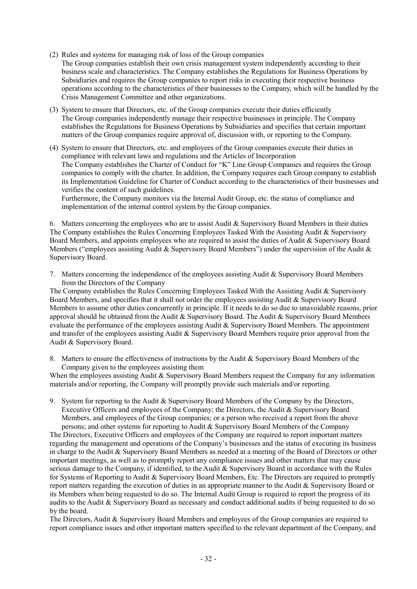- (2) Rules and systems for managing risk of loss of the Group companies The Group companies establish their own crisis management system independently according to their business scale and characteristics. The Company establishes the Regulations for Business Operations by Subsidiaries and requires the Group companies to report risks in executing their respective business operations according to the characteristics of their businesses to the Company, which will be handled by the Crisis Management Committee and other organizations.
- (3) System to ensure that Directors, etc. of the Group companies execute their duties efficiently The Group companies independently manage their respective businesses in principle. The Company establishes the Regulations for Business Operations by Subsidiaries and specifies that certain important matters of the Group companies require approval of, discussion with, or reporting to the Company.
- (4) System to ensure that Directors, etc. and employees of the Group companies execute their duties in compliance with relevant laws and regulations and the Articles of Incorporation The Company establishes the Charter of Conduct for "K" Line Group Companies and requires the Group companies to comply with the charter. In addition, the Company requires each Group company to establish its Implementation Guideline for Charter of Conduct according to the characteristics of their businesses and verifies the content of such guidelines.

Furthermore, the Company monitors via the Internal Audit Group, etc. the status of compliance and implementation of the internal control system by the Group companies.

6. Matters concerning the employees who are to assist Audit  $\&$  Supervisory Board Members in their duties The Company establishes the Rules Concerning Employees Tasked With the Assisting Audit & Supervisory Board Members, and appoints employees who are required to assist the duties of Audit & Supervisory Board Members ("employees assisting Audit & Supervisory Board Members") under the supervision of the Audit & Supervisory Board.

7. Matters concerning the independence of the employees assisting Audit & Supervisory Board Members from the Directors of the Company

The Company establishes the Rules Concerning Employees Tasked With the Assisting Audit & Supervisory Board Members, and specifies that it shall not order the employees assisting Audit & Supervisory Board Members to assume other duties concurrently in principle. If it needs to do so due to unavoidable reasons, prior approval should be obtained from the Audit & Supervisory Board. The Audit & Supervisory Board Members evaluate the performance of the employees assisting Audit & Supervisory Board Members. The appointment and transfer of the employees assisting Audit & Supervisory Board Members require prior approval from the Audit & Supervisory Board.

8. Matters to ensure the effectiveness of instructions by the Audit & Supervisory Board Members of the Company given to the employees assisting them

When the employees assisting Audit & Supervisory Board Members request the Company for any information materials and/or reporting, the Company will promptly provide such materials and/or reporting.

9. System for reporting to the Audit & Supervisory Board Members of the Company by the Directors, Executive Officers and employees of the Company; the Directors, the Audit & Supervisory Board Members, and employees of the Group companies; or a person who received a report from the above persons; and other systems for reporting to Audit & Supervisory Board Members of the Company

The Directors, Executive Officers and employees of the Company are required to report important matters regarding the management and operations of the Company's businesses and the status of executing its business in charge to the Audit & Supervisory Board Members as needed at a meeting of the Board of Directors or other important meetings, as well as to promptly report any compliance issues and other matters that may cause serious damage to the Company, if identified, to the Audit & Supervisory Board in accordance with the Rules for Systems of Reporting to Audit & Supervisory Board Members, Etc. The Directors are required to promptly report matters regarding the execution of duties in an appropriate manner to the Audit & Supervisory Board or its Members when being requested to do so. The Internal Audit Group is required to report the progress of its audits to the Audit & Supervisory Board as necessary and conduct additional audits if being requested to do so by the board.

The Directors, Audit & Supervisory Board Members and employees of the Group companies are required to report compliance issues and other important matters specified to the relevant department of the Company, and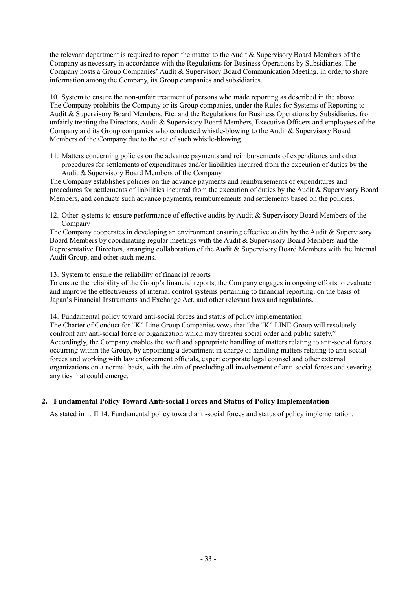the relevant department is required to report the matter to the Audit & Supervisory Board Members of the Company as necessary in accordance with the Regulations for Business Operations by Subsidiaries. The Company hosts a Group Companies' Audit & Supervisory Board Communication Meeting, in order to share information among the Company, its Group companies and subsidiaries.

10. System to ensure the non-unfair treatment of persons who made reporting as described in the above The Company prohibits the Company or its Group companies, under the Rules for Systems of Reporting to Audit & Supervisory Board Members, Etc. and the Regulations for Business Operations by Subsidiaries, from unfairly treating the Directors, Audit & Supervisory Board Members, Executive Officers and employees of the Company and its Group companies who conducted whistle-blowing to the Audit & Supervisory Board Members of the Company due to the act of such whistle-blowing.

11. Matters concerning policies on the advance payments and reimbursements of expenditures and other procedures for settlements of expenditures and/or liabilities incurred from the execution of duties by the Audit & Supervisory Board Members of the Company

The Company establishes policies on the advance payments and reimbursements of expenditures and procedures for settlements of liabilities incurred from the execution of duties by the Audit & Supervisory Board Members, and conducts such advance payments, reimbursements and settlements based on the policies.

12. Other systems to ensure performance of effective audits by Audit & Supervisory Board Members of the Company

The Company cooperates in developing an environment ensuring effective audits by the Audit & Supervisory Board Members by coordinating regular meetings with the Audit & Supervisory Board Members and the Representative Directors, arranging collaboration of the Audit & Supervisory Board Members with the Internal Audit Group, and other such means.

#### 13. System to ensure the reliability of financial reports

To ensure the reliability of the Group's financial reports, the Company engages in ongoing efforts to evaluate and improve the effectiveness of internal control systems pertaining to financial reporting, on the basis of Japan's Financial Instruments and Exchange Act, and other relevant laws and regulations.

14. Fundamental policy toward anti-social forces and status of policy implementation

The Charter of Conduct for "K" Line Group Companies vows that "the "K" LINE Group will resolutely confront any anti-social force or organization which may threaten social order and public safety." Accordingly, the Company enables the swift and appropriate handling of matters relating to anti-social forces occurring within the Group, by appointing a department in charge of handling matters relating to anti-social forces and working with law enforcement officials, expert corporate legal counsel and other external organizations on a normal basis, with the aim of precluding all involvement of anti-social forces and severing any ties that could emerge.

# **2. Fundamental Policy Toward Anti-social Forces and Status of Policy Implementation**

As stated in 1. II 14. Fundamental policy toward anti-social forces and status of policy implementation.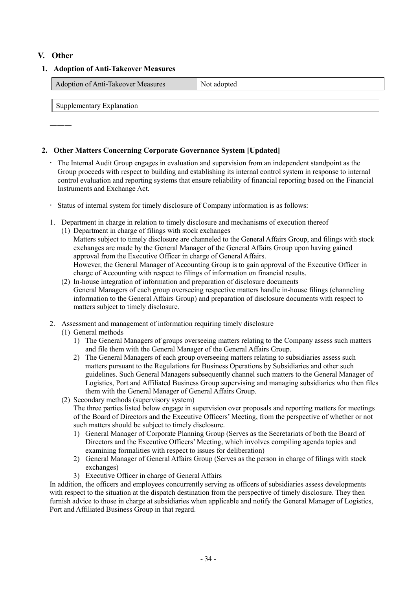# **V. Other**

#### **1. Adoption of Anti-Takeover Measures**

| Adoption of Anti-Takeover Measures | <sup>t</sup> adopted |
|------------------------------------|----------------------|
|                                    |                      |

Supplementary Explanation

―――

# **2. Other Matters Concerning Corporate Governance System [Updated]**

- The Internal Audit Group engages in evaluation and supervision from an independent standpoint as the Group proceeds with respect to building and establishing its internal control system in response to internal control evaluation and reporting systems that ensure reliability of financial reporting based on the Financial Instruments and Exchange Act.
- Status of internal system for timely disclosure of Company information is as follows:
- 1. Department in charge in relation to timely disclosure and mechanisms of execution thereof
	- (1) Department in charge of filings with stock exchanges Matters subject to timely disclosure are channeled to the General Affairs Group, and filings with stock exchanges are made by the General Manager of the General Affairs Group upon having gained approval from the Executive Officer in charge of General Affairs. However, the General Manager of Accounting Group is to gain approval of the Executive Officer in charge of Accounting with respect to filings of information on financial results.
	- (2) In-house integration of information and preparation of disclosure documents General Managers of each group overseeing respective matters handle in-house filings (channeling information to the General Affairs Group) and preparation of disclosure documents with respect to matters subject to timely disclosure.
- 2. Assessment and management of information requiring timely disclosure
	- (1) General methods
		- 1) The General Managers of groups overseeing matters relating to the Company assess such matters and file them with the General Manager of the General Affairs Group.
		- 2) The General Managers of each group overseeing matters relating to subsidiaries assess such matters pursuant to the Regulations for Business Operations by Subsidiaries and other such guidelines. Such General Managers subsequently channel such matters to the General Manager of Logistics, Port and Affiliated Business Group supervising and managing subsidiaries who then files them with the General Manager of General Affairs Group.
	- (2) Secondary methods (supervisory system)

The three parties listed below engage in supervision over proposals and reporting matters for meetings of the Board of Directors and the Executive Officers' Meeting, from the perspective of whether or not such matters should be subject to timely disclosure.

- 1) General Manager of Corporate Planning Group (Serves as the Secretariats of both the Board of Directors and the Executive Officers' Meeting, which involves compiling agenda topics and examining formalities with respect to issues for deliberation)
- 2) General Manager of General Affairs Group (Serves as the person in charge of filings with stock exchanges)
- 3) Executive Officer in charge of General Affairs

In addition, the officers and employees concurrently serving as officers of subsidiaries assess developments with respect to the situation at the dispatch destination from the perspective of timely disclosure. They then furnish advice to those in charge at subsidiaries when applicable and notify the General Manager of Logistics, Port and Affiliated Business Group in that regard.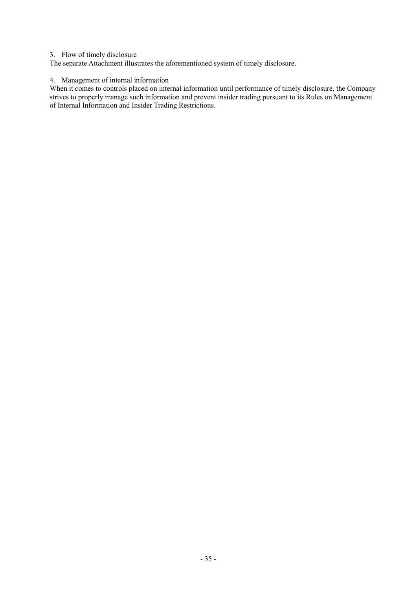#### 3. Flow of timely disclosure

The separate Attachment illustrates the aforementioned system of timely disclosure.

#### 4. Management of internal information

When it comes to controls placed on internal information until performance of timely disclosure, the Company strives to properly manage such information and prevent insider trading pursuant to its Rules on Management of Internal Information and Insider Trading Restrictions.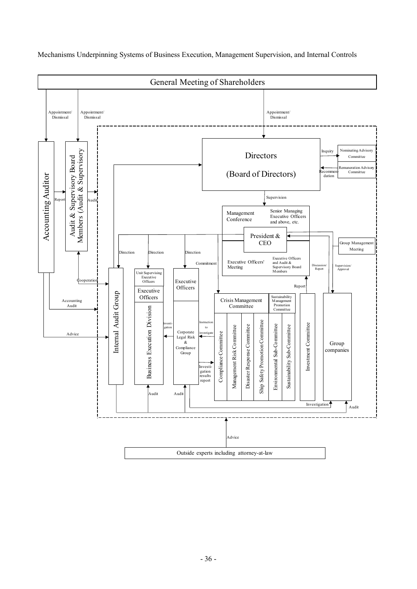

Mechanisms Underpinning Systems of Business Execution, Management Supervision, and Internal Controls